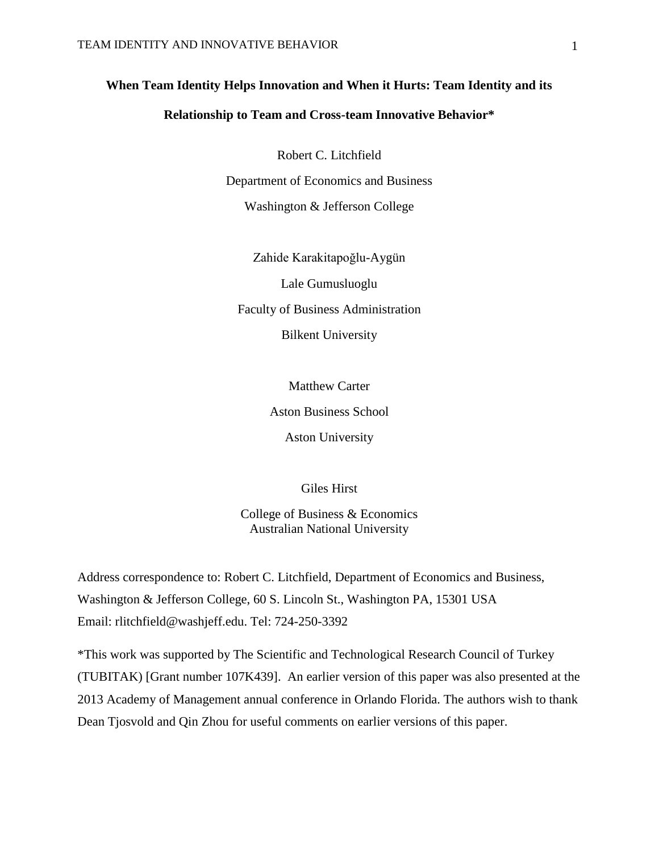# **When Team Identity Helps Innovation and When it Hurts: Team Identity and its**

## **Relationship to Team and Cross-team Innovative Behavior\***

Robert C. Litchfield Department of Economics and Business Washington & Jefferson College

Zahide Karakitapoğlu-Aygün Lale Gumusluoglu Faculty of Business Administration Bilkent University

Matthew Carter

Aston Business School

Aston University

Giles Hirst

College of Business & Economics Australian National University

Address correspondence to: Robert C. Litchfield, Department of Economics and Business, Washington & Jefferson College, 60 S. Lincoln St., Washington PA, 15301 USA Email: rlitchfield@washjeff.edu. Tel: 724-250-3392

\*This work was supported by The Scientific and Technological Research Council of Turkey (TUBITAK) [Grant number 107K439]. An earlier version of this paper was also presented at the 2013 Academy of Management annual conference in Orlando Florida. The authors wish to thank Dean Tjosvold and Qin Zhou for useful comments on earlier versions of this paper.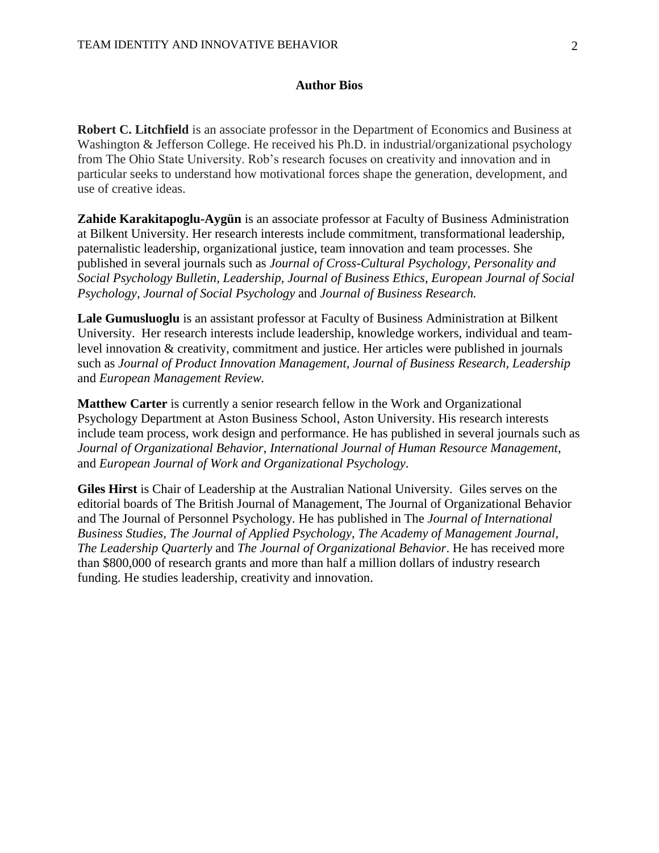## **Author Bios**

**Robert C. Litchfield** is an associate professor in the Department of Economics and Business at Washington & Jefferson College. He received his Ph.D. in industrial/organizational psychology from The Ohio State University. Rob's research focuses on creativity and innovation and in particular seeks to understand how motivational forces shape the generation, development, and use of creative ideas.

**Zahide Karakitapoglu-Aygün** is an associate professor at Faculty of Business Administration at Bilkent University. Her research interests include commitment, transformational leadership, paternalistic leadership, organizational justice, team innovation and team processes. She published in several journals such as *Journal of Cross-Cultural Psychology, Personality and Social Psychology Bulletin, Leadership, Journal of Business Ethics, European Journal of Social Psychology, Journal of Social Psychology* and *Journal of Business Research.*

**Lale Gumusluoglu** is an assistant professor at Faculty of Business Administration at Bilkent University. Her research interests include leadership, knowledge workers, individual and teamlevel innovation & creativity, commitment and justice. Her articles were published in journals such as *Journal of Product Innovation Management, Journal of Business Research, Leadership*  and *European Management Review.*

**Matthew Carter** is currently a senior research fellow in the Work and Organizational Psychology Department at Aston Business School, Aston University. His research interests include team process, work design and performance. He has published in several journals such as *Journal of Organizational Behavior*, *International Journal of Human Resource Management*, and *European Journal of Work and Organizational Psychology*.

**Giles Hirst** is Chair of Leadership at the Australian National University. Giles serves on the editorial boards of The British Journal of Management, The Journal of Organizational Behavior and The Journal of Personnel Psychology. He has published in The *Journal of International Business Studies, The Journal of Applied Psychology*, *The Academy of Management Journal, The Leadership Quarterly* and *The Journal of Organizational Behavior*. He has received more than \$800,000 of research grants and more than half a million dollars of industry research funding. He studies leadership, creativity and innovation.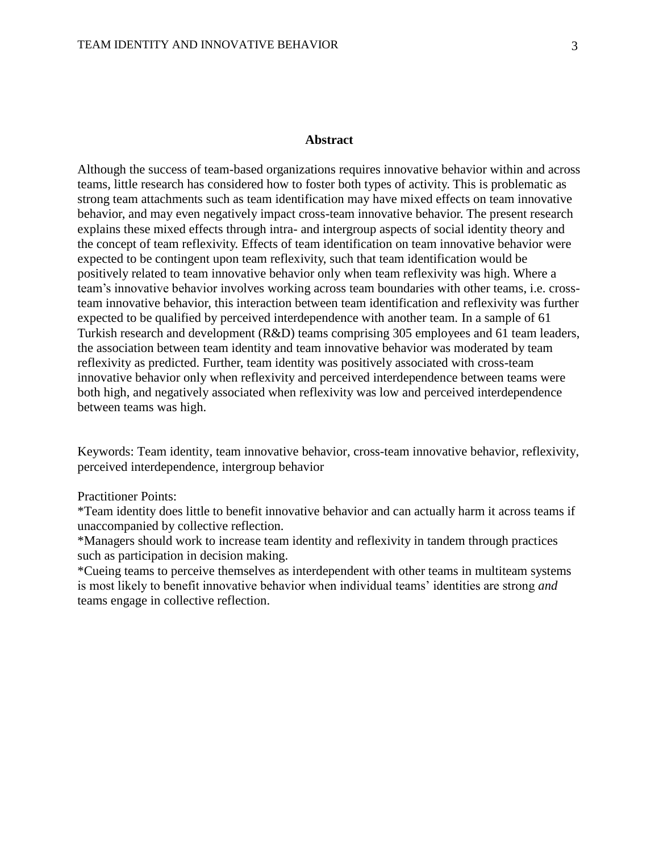### **Abstract**

Although the success of team-based organizations requires innovative behavior within and across teams, little research has considered how to foster both types of activity. This is problematic as strong team attachments such as team identification may have mixed effects on team innovative behavior, and may even negatively impact cross-team innovative behavior. The present research explains these mixed effects through intra- and intergroup aspects of social identity theory and the concept of team reflexivity. Effects of team identification on team innovative behavior were expected to be contingent upon team reflexivity, such that team identification would be positively related to team innovative behavior only when team reflexivity was high. Where a team's innovative behavior involves working across team boundaries with other teams, i.e. crossteam innovative behavior, this interaction between team identification and reflexivity was further expected to be qualified by perceived interdependence with another team. In a sample of 61 Turkish research and development (R&D) teams comprising 305 employees and 61 team leaders, the association between team identity and team innovative behavior was moderated by team reflexivity as predicted. Further, team identity was positively associated with cross-team innovative behavior only when reflexivity and perceived interdependence between teams were both high, and negatively associated when reflexivity was low and perceived interdependence between teams was high.

Keywords: Team identity, team innovative behavior, cross-team innovative behavior, reflexivity, perceived interdependence, intergroup behavior

#### Practitioner Points:

\*Team identity does little to benefit innovative behavior and can actually harm it across teams if unaccompanied by collective reflection.

\*Managers should work to increase team identity and reflexivity in tandem through practices such as participation in decision making.

\*Cueing teams to perceive themselves as interdependent with other teams in multiteam systems is most likely to benefit innovative behavior when individual teams' identities are strong *and*  teams engage in collective reflection.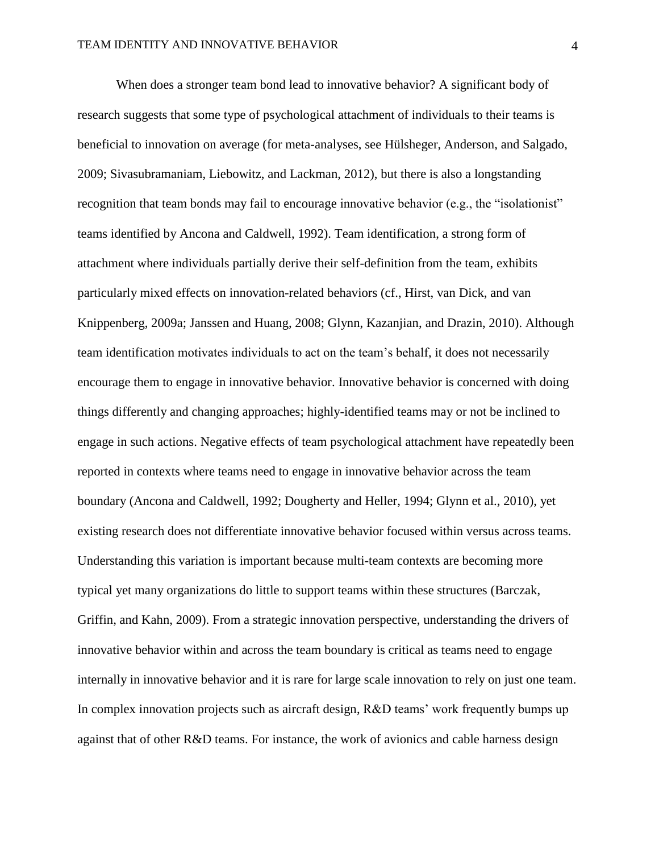When does a stronger team bond lead to innovative behavior? A significant body of research suggests that some type of psychological attachment of individuals to their teams is beneficial to innovation on average (for meta-analyses, see Hülsheger, Anderson, and Salgado, 2009; Sivasubramaniam, Liebowitz, and Lackman, 2012), but there is also a longstanding recognition that team bonds may fail to encourage innovative behavior (e.g., the "isolationist" teams identified by Ancona and Caldwell, 1992). Team identification, a strong form of attachment where individuals partially derive their self-definition from the team, exhibits particularly mixed effects on innovation-related behaviors (cf., Hirst, van Dick, and van Knippenberg, 2009a; Janssen and Huang, 2008; Glynn, Kazanjian, and Drazin, 2010). Although team identification motivates individuals to act on the team's behalf, it does not necessarily encourage them to engage in innovative behavior. Innovative behavior is concerned with doing things differently and changing approaches; highly-identified teams may or not be inclined to engage in such actions. Negative effects of team psychological attachment have repeatedly been reported in contexts where teams need to engage in innovative behavior across the team boundary (Ancona and Caldwell, 1992; Dougherty and Heller, 1994; Glynn et al., 2010), yet existing research does not differentiate innovative behavior focused within versus across teams. Understanding this variation is important because multi-team contexts are becoming more typical yet many organizations do little to support teams within these structures (Barczak, Griffin, and Kahn, 2009). From a strategic innovation perspective, understanding the drivers of innovative behavior within and across the team boundary is critical as teams need to engage internally in innovative behavior and it is rare for large scale innovation to rely on just one team. In complex innovation projects such as aircraft design, R&D teams' work frequently bumps up against that of other R&D teams. For instance, the work of avionics and cable harness design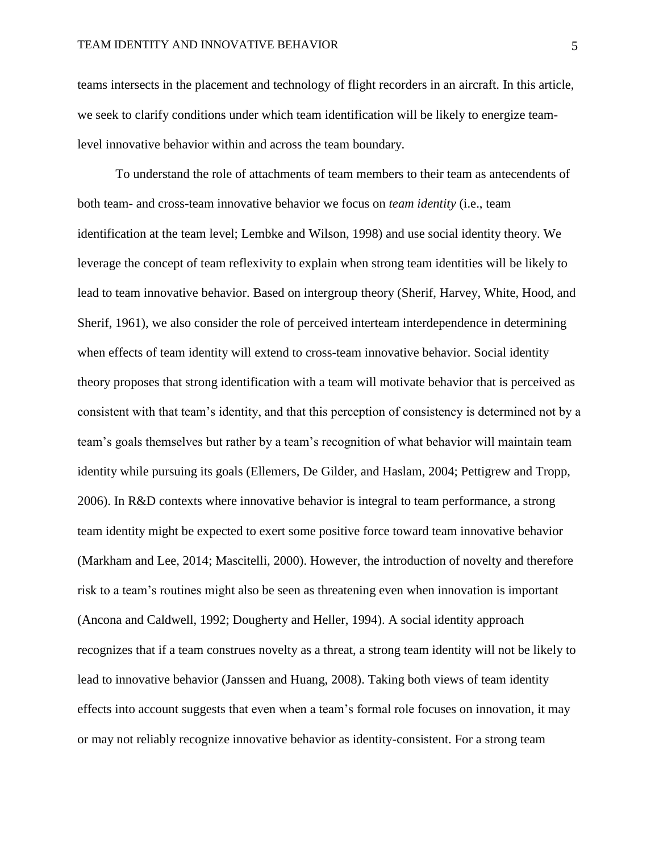teams intersects in the placement and technology of flight recorders in an aircraft. In this article, we seek to clarify conditions under which team identification will be likely to energize teamlevel innovative behavior within and across the team boundary.

To understand the role of attachments of team members to their team as antecendents of both team- and cross-team innovative behavior we focus on *team identity* (i.e., team identification at the team level; Lembke and Wilson, 1998) and use social identity theory. We leverage the concept of team reflexivity to explain when strong team identities will be likely to lead to team innovative behavior. Based on intergroup theory (Sherif, Harvey, White, Hood, and Sherif, 1961), we also consider the role of perceived interteam interdependence in determining when effects of team identity will extend to cross-team innovative behavior. Social identity theory proposes that strong identification with a team will motivate behavior that is perceived as consistent with that team's identity, and that this perception of consistency is determined not by a team's goals themselves but rather by a team's recognition of what behavior will maintain team identity while pursuing its goals (Ellemers, De Gilder, and Haslam, 2004; Pettigrew and Tropp, 2006). In R&D contexts where innovative behavior is integral to team performance, a strong team identity might be expected to exert some positive force toward team innovative behavior (Markham and Lee, 2014; Mascitelli, 2000). However, the introduction of novelty and therefore risk to a team's routines might also be seen as threatening even when innovation is important (Ancona and Caldwell, 1992; Dougherty and Heller, 1994). A social identity approach recognizes that if a team construes novelty as a threat, a strong team identity will not be likely to lead to innovative behavior (Janssen and Huang, 2008). Taking both views of team identity effects into account suggests that even when a team's formal role focuses on innovation, it may or may not reliably recognize innovative behavior as identity-consistent. For a strong team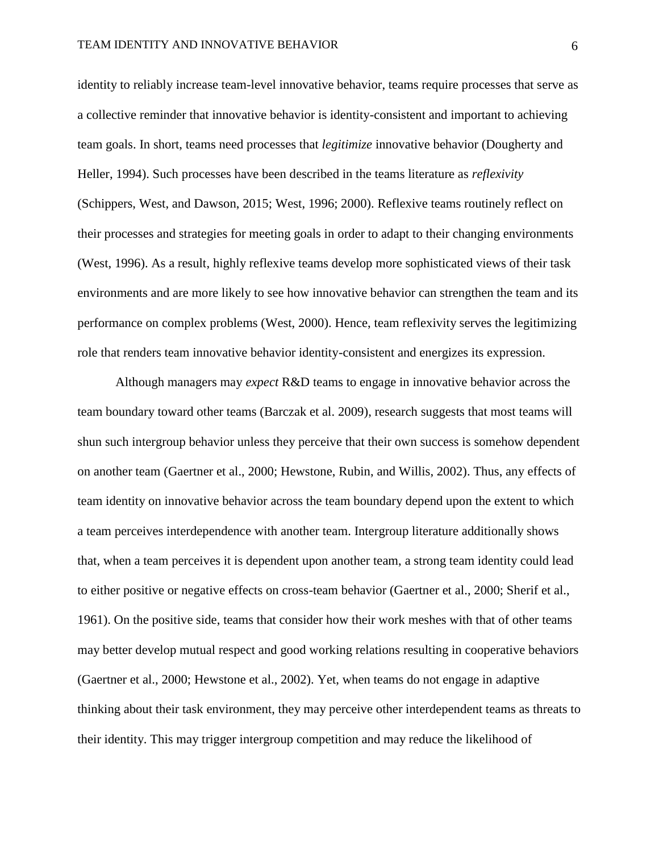identity to reliably increase team-level innovative behavior, teams require processes that serve as a collective reminder that innovative behavior is identity-consistent and important to achieving team goals. In short, teams need processes that *legitimize* innovative behavior (Dougherty and Heller, 1994). Such processes have been described in the teams literature as *reflexivity* (Schippers, West, and Dawson, 2015; West, 1996; 2000). Reflexive teams routinely reflect on their processes and strategies for meeting goals in order to adapt to their changing environments (West, 1996). As a result, highly reflexive teams develop more sophisticated views of their task environments and are more likely to see how innovative behavior can strengthen the team and its performance on complex problems (West, 2000). Hence, team reflexivity serves the legitimizing role that renders team innovative behavior identity-consistent and energizes its expression.

Although managers may *expect* R&D teams to engage in innovative behavior across the team boundary toward other teams (Barczak et al. 2009), research suggests that most teams will shun such intergroup behavior unless they perceive that their own success is somehow dependent on another team (Gaertner et al., 2000; Hewstone, Rubin, and Willis, 2002). Thus, any effects of team identity on innovative behavior across the team boundary depend upon the extent to which a team perceives interdependence with another team. Intergroup literature additionally shows that, when a team perceives it is dependent upon another team, a strong team identity could lead to either positive or negative effects on cross-team behavior (Gaertner et al., 2000; Sherif et al., 1961). On the positive side, teams that consider how their work meshes with that of other teams may better develop mutual respect and good working relations resulting in cooperative behaviors (Gaertner et al., 2000; Hewstone et al., 2002). Yet, when teams do not engage in adaptive thinking about their task environment, they may perceive other interdependent teams as threats to their identity. This may trigger intergroup competition and may reduce the likelihood of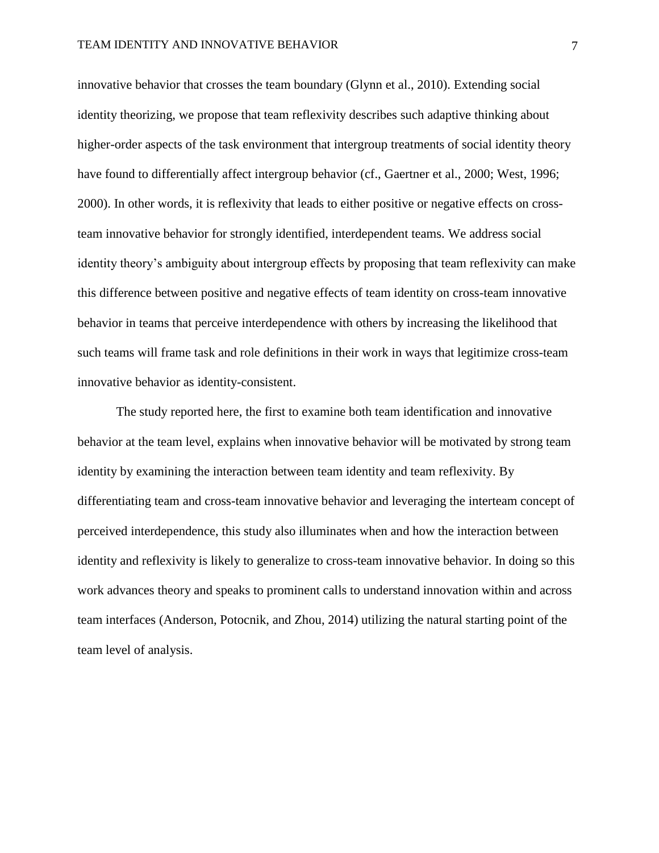innovative behavior that crosses the team boundary (Glynn et al., 2010). Extending social identity theorizing, we propose that team reflexivity describes such adaptive thinking about higher-order aspects of the task environment that intergroup treatments of social identity theory have found to differentially affect intergroup behavior (cf., Gaertner et al., 2000; West, 1996; 2000). In other words, it is reflexivity that leads to either positive or negative effects on crossteam innovative behavior for strongly identified, interdependent teams. We address social identity theory's ambiguity about intergroup effects by proposing that team reflexivity can make this difference between positive and negative effects of team identity on cross-team innovative behavior in teams that perceive interdependence with others by increasing the likelihood that such teams will frame task and role definitions in their work in ways that legitimize cross-team innovative behavior as identity-consistent.

The study reported here, the first to examine both team identification and innovative behavior at the team level, explains when innovative behavior will be motivated by strong team identity by examining the interaction between team identity and team reflexivity. By differentiating team and cross-team innovative behavior and leveraging the interteam concept of perceived interdependence, this study also illuminates when and how the interaction between identity and reflexivity is likely to generalize to cross-team innovative behavior. In doing so this work advances theory and speaks to prominent calls to understand innovation within and across team interfaces (Anderson, Potocnik, and Zhou, 2014) utilizing the natural starting point of the team level of analysis.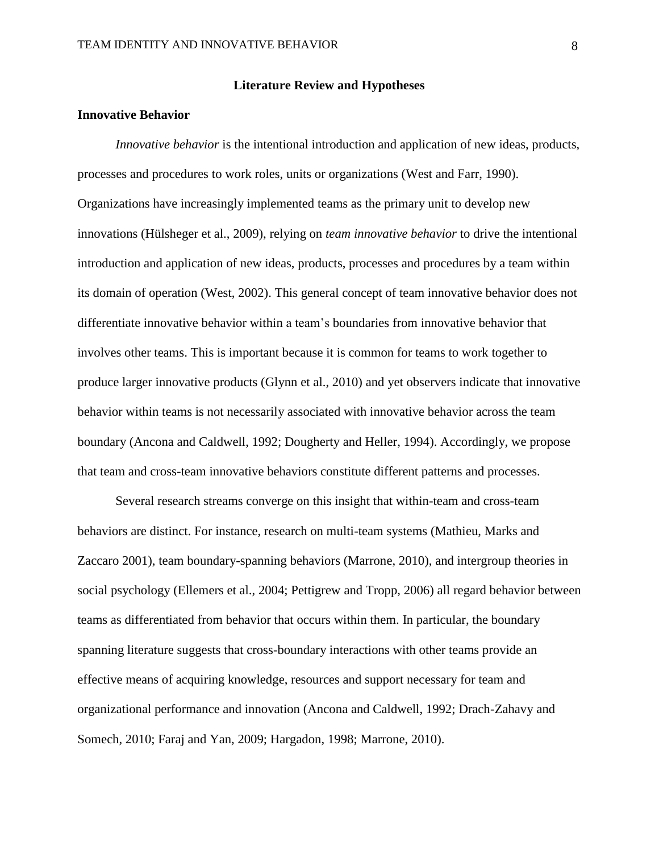#### **Literature Review and Hypotheses**

#### **Innovative Behavior**

*Innovative behavior* is the intentional introduction and application of new ideas, products, processes and procedures to work roles, units or organizations (West and Farr, 1990). Organizations have increasingly implemented teams as the primary unit to develop new innovations (Hülsheger et al., 2009), relying on *team innovative behavior* to drive the intentional introduction and application of new ideas, products, processes and procedures by a team within its domain of operation (West, 2002). This general concept of team innovative behavior does not differentiate innovative behavior within a team's boundaries from innovative behavior that involves other teams. This is important because it is common for teams to work together to produce larger innovative products (Glynn et al., 2010) and yet observers indicate that innovative behavior within teams is not necessarily associated with innovative behavior across the team boundary (Ancona and Caldwell, 1992; Dougherty and Heller, 1994). Accordingly, we propose that team and cross-team innovative behaviors constitute different patterns and processes.

Several research streams converge on this insight that within-team and cross-team behaviors are distinct. For instance, research on multi-team systems (Mathieu, Marks and Zaccaro 2001), team boundary-spanning behaviors (Marrone, 2010), and intergroup theories in social psychology (Ellemers et al., 2004; Pettigrew and Tropp, 2006) all regard behavior between teams as differentiated from behavior that occurs within them. In particular, the boundary spanning literature suggests that cross-boundary interactions with other teams provide an effective means of acquiring knowledge, resources and support necessary for team and organizational performance and innovation (Ancona and Caldwell, 1992; Drach-Zahavy and Somech, 2010; Faraj and Yan, 2009; Hargadon, 1998; Marrone, 2010).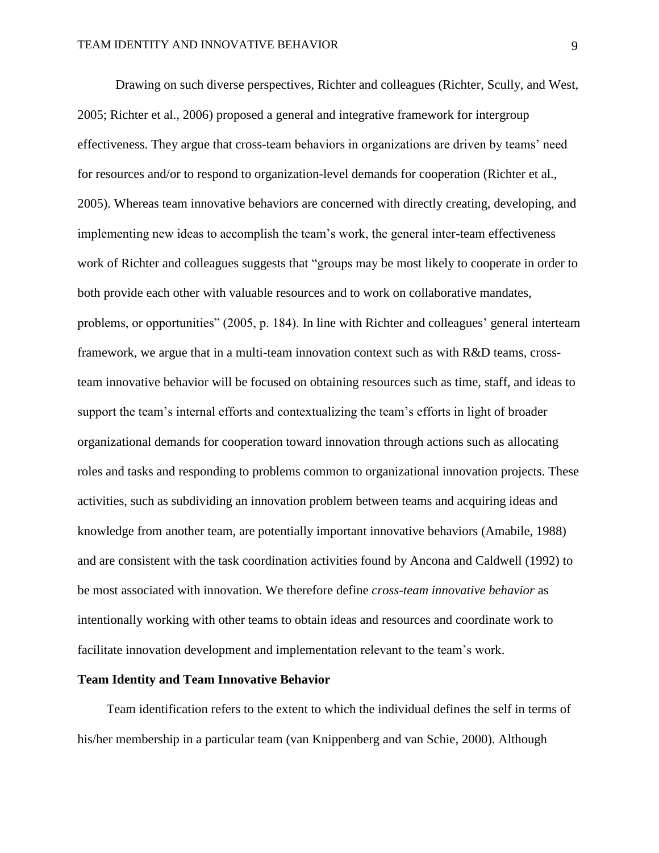Drawing on such diverse perspectives, Richter and colleagues (Richter, Scully, and West, 2005; Richter et al., 2006) proposed a general and integrative framework for intergroup effectiveness. They argue that cross-team behaviors in organizations are driven by teams' need for resources and/or to respond to organization-level demands for cooperation (Richter et al., 2005). Whereas team innovative behaviors are concerned with directly creating, developing, and implementing new ideas to accomplish the team's work, the general inter-team effectiveness work of Richter and colleagues suggests that "groups may be most likely to cooperate in order to both provide each other with valuable resources and to work on collaborative mandates, problems, or opportunities" (2005, p. 184). In line with Richter and colleagues' general interteam framework, we argue that in a multi-team innovation context such as with R&D teams, crossteam innovative behavior will be focused on obtaining resources such as time, staff, and ideas to support the team's internal efforts and contextualizing the team's efforts in light of broader organizational demands for cooperation toward innovation through actions such as allocating roles and tasks and responding to problems common to organizational innovation projects. These activities, such as subdividing an innovation problem between teams and acquiring ideas and knowledge from another team, are potentially important innovative behaviors (Amabile, 1988) and are consistent with the task coordination activities found by Ancona and Caldwell (1992) to be most associated with innovation. We therefore define *cross-team innovative behavior* as intentionally working with other teams to obtain ideas and resources and coordinate work to facilitate innovation development and implementation relevant to the team's work.

#### **Team Identity and Team Innovative Behavior**

Team identification refers to the extent to which the individual defines the self in terms of his/her membership in a particular team (van Knippenberg and van Schie, 2000). Although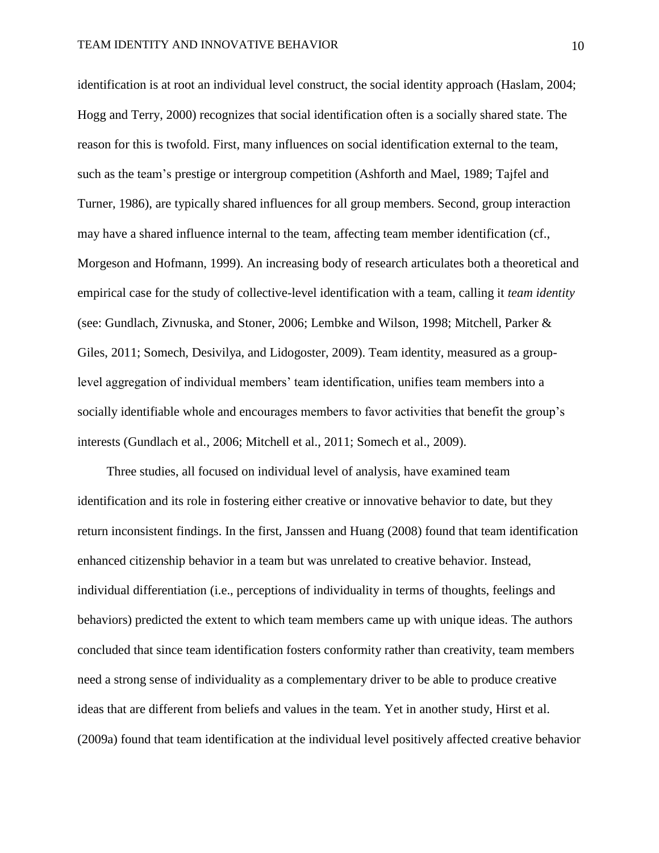identification is at root an individual level construct, the social identity approach (Haslam, 2004; Hogg and Terry, 2000) recognizes that social identification often is a socially shared state. The reason for this is twofold. First, many influences on social identification external to the team, such as the team's prestige or intergroup competition (Ashforth and Mael, 1989; Tajfel and Turner, 1986), are typically shared influences for all group members. Second, group interaction may have a shared influence internal to the team, affecting team member identification (cf., Morgeson and Hofmann, 1999). An increasing body of research articulates both a theoretical and empirical case for the study of collective-level identification with a team, calling it *team identity* (see: Gundlach, Zivnuska, and Stoner, 2006; Lembke and Wilson, 1998; Mitchell, Parker & Giles, 2011; Somech, Desivilya, and Lidogoster, 2009). Team identity, measured as a grouplevel aggregation of individual members' team identification, unifies team members into a socially identifiable whole and encourages members to favor activities that benefit the group's interests (Gundlach et al., 2006; Mitchell et al., 2011; Somech et al., 2009).

Three studies, all focused on individual level of analysis, have examined team identification and its role in fostering either creative or innovative behavior to date, but they return inconsistent findings. In the first, Janssen and Huang (2008) found that team identification enhanced citizenship behavior in a team but was unrelated to creative behavior. Instead, individual differentiation (i.e., perceptions of individuality in terms of thoughts, feelings and behaviors) predicted the extent to which team members came up with unique ideas. The authors concluded that since team identification fosters conformity rather than creativity, team members need a strong sense of individuality as a complementary driver to be able to produce creative ideas that are different from beliefs and values in the team. Yet in another study, Hirst et al. (2009a) found that team identification at the individual level positively affected creative behavior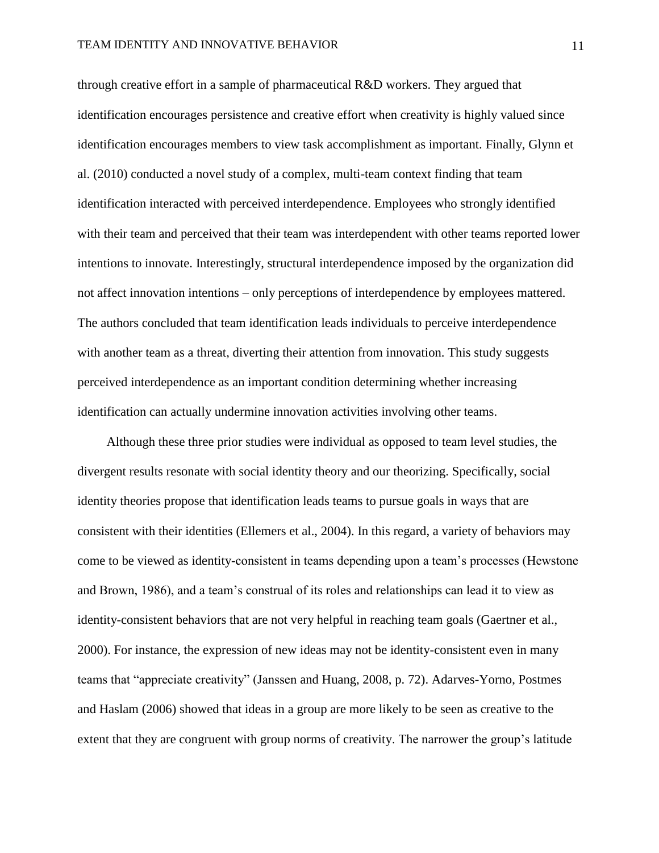through creative effort in a sample of pharmaceutical R&D workers. They argued that identification encourages persistence and creative effort when creativity is highly valued since identification encourages members to view task accomplishment as important. Finally, Glynn et al. (2010) conducted a novel study of a complex, multi-team context finding that team identification interacted with perceived interdependence. Employees who strongly identified with their team and perceived that their team was interdependent with other teams reported lower intentions to innovate. Interestingly, structural interdependence imposed by the organization did not affect innovation intentions – only perceptions of interdependence by employees mattered. The authors concluded that team identification leads individuals to perceive interdependence with another team as a threat, diverting their attention from innovation. This study suggests perceived interdependence as an important condition determining whether increasing identification can actually undermine innovation activities involving other teams.

Although these three prior studies were individual as opposed to team level studies, the divergent results resonate with social identity theory and our theorizing. Specifically, social identity theories propose that identification leads teams to pursue goals in ways that are consistent with their identities (Ellemers et al., 2004). In this regard, a variety of behaviors may come to be viewed as identity-consistent in teams depending upon a team's processes (Hewstone and Brown, 1986), and a team's construal of its roles and relationships can lead it to view as identity-consistent behaviors that are not very helpful in reaching team goals (Gaertner et al., 2000). For instance, the expression of new ideas may not be identity-consistent even in many teams that "appreciate creativity" (Janssen and Huang, 2008, p. 72). Adarves-Yorno, Postmes and Haslam (2006) showed that ideas in a group are more likely to be seen as creative to the extent that they are congruent with group norms of creativity. The narrower the group's latitude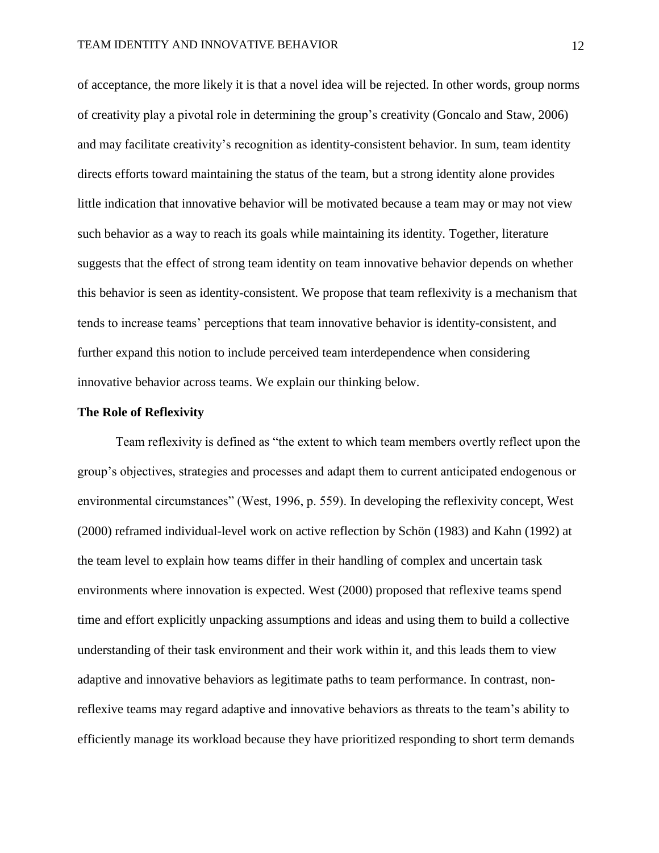of acceptance, the more likely it is that a novel idea will be rejected. In other words, group norms of creativity play a pivotal role in determining the group's creativity (Goncalo and Staw, 2006) and may facilitate creativity's recognition as identity-consistent behavior. In sum, team identity directs efforts toward maintaining the status of the team, but a strong identity alone provides little indication that innovative behavior will be motivated because a team may or may not view such behavior as a way to reach its goals while maintaining its identity. Together, literature suggests that the effect of strong team identity on team innovative behavior depends on whether this behavior is seen as identity-consistent. We propose that team reflexivity is a mechanism that tends to increase teams' perceptions that team innovative behavior is identity-consistent, and further expand this notion to include perceived team interdependence when considering innovative behavior across teams. We explain our thinking below.

#### **The Role of Reflexivity**

Team reflexivity is defined as "the extent to which team members overtly reflect upon the group's objectives, strategies and processes and adapt them to current anticipated endogenous or environmental circumstances" (West, 1996, p. 559). In developing the reflexivity concept, West (2000) reframed individual-level work on active reflection by Schön (1983) and Kahn (1992) at the team level to explain how teams differ in their handling of complex and uncertain task environments where innovation is expected. West (2000) proposed that reflexive teams spend time and effort explicitly unpacking assumptions and ideas and using them to build a collective understanding of their task environment and their work within it, and this leads them to view adaptive and innovative behaviors as legitimate paths to team performance. In contrast, nonreflexive teams may regard adaptive and innovative behaviors as threats to the team's ability to efficiently manage its workload because they have prioritized responding to short term demands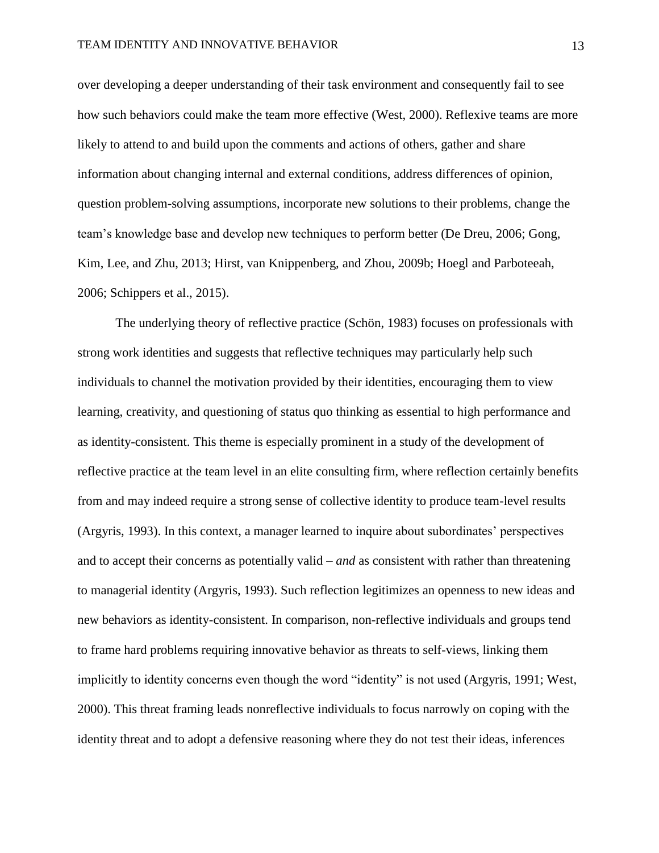over developing a deeper understanding of their task environment and consequently fail to see how such behaviors could make the team more effective (West, 2000). Reflexive teams are more likely to attend to and build upon the comments and actions of others, gather and share information about changing internal and external conditions, address differences of opinion, question problem-solving assumptions, incorporate new solutions to their problems, change the team's knowledge base and develop new techniques to perform better (De Dreu, 2006; Gong, Kim, Lee, and Zhu, 2013; Hirst, van Knippenberg, and Zhou, 2009b; Hoegl and Parboteeah, 2006; Schippers et al., 2015).

The underlying theory of reflective practice (Schön, 1983) focuses on professionals with strong work identities and suggests that reflective techniques may particularly help such individuals to channel the motivation provided by their identities, encouraging them to view learning, creativity, and questioning of status quo thinking as essential to high performance and as identity-consistent. This theme is especially prominent in a study of the development of reflective practice at the team level in an elite consulting firm, where reflection certainly benefits from and may indeed require a strong sense of collective identity to produce team-level results (Argyris, 1993). In this context, a manager learned to inquire about subordinates' perspectives and to accept their concerns as potentially valid – *and* as consistent with rather than threatening to managerial identity (Argyris, 1993). Such reflection legitimizes an openness to new ideas and new behaviors as identity-consistent. In comparison, non-reflective individuals and groups tend to frame hard problems requiring innovative behavior as threats to self-views, linking them implicitly to identity concerns even though the word "identity" is not used (Argyris, 1991; West, 2000). This threat framing leads nonreflective individuals to focus narrowly on coping with the identity threat and to adopt a defensive reasoning where they do not test their ideas, inferences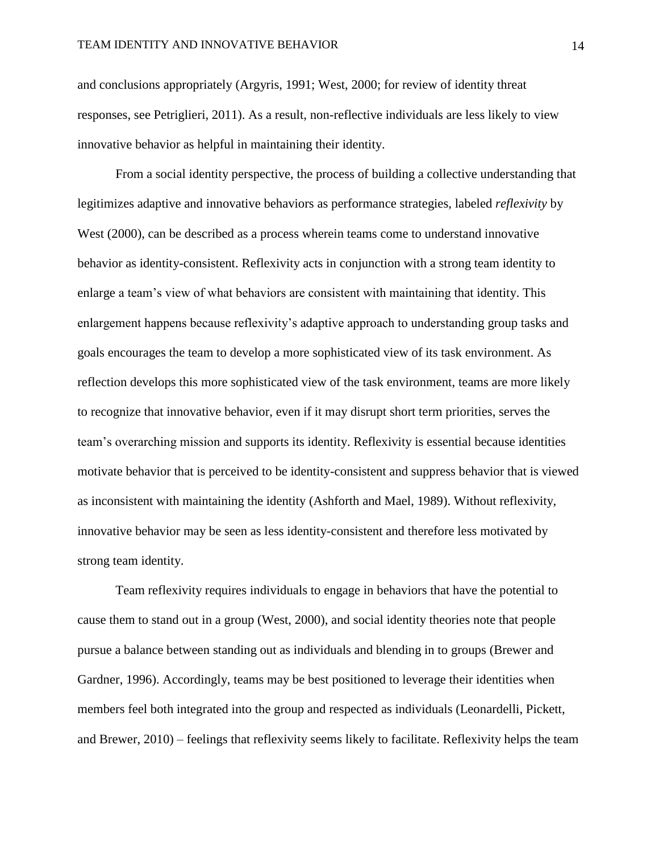and conclusions appropriately (Argyris, 1991; West, 2000; for review of identity threat responses, see Petriglieri, 2011). As a result, non-reflective individuals are less likely to view innovative behavior as helpful in maintaining their identity.

From a social identity perspective, the process of building a collective understanding that legitimizes adaptive and innovative behaviors as performance strategies, labeled *reflexivity* by West (2000), can be described as a process wherein teams come to understand innovative behavior as identity-consistent. Reflexivity acts in conjunction with a strong team identity to enlarge a team's view of what behaviors are consistent with maintaining that identity. This enlargement happens because reflexivity's adaptive approach to understanding group tasks and goals encourages the team to develop a more sophisticated view of its task environment. As reflection develops this more sophisticated view of the task environment, teams are more likely to recognize that innovative behavior, even if it may disrupt short term priorities, serves the team's overarching mission and supports its identity. Reflexivity is essential because identities motivate behavior that is perceived to be identity-consistent and suppress behavior that is viewed as inconsistent with maintaining the identity (Ashforth and Mael, 1989). Without reflexivity, innovative behavior may be seen as less identity-consistent and therefore less motivated by strong team identity.

Team reflexivity requires individuals to engage in behaviors that have the potential to cause them to stand out in a group (West, 2000), and social identity theories note that people pursue a balance between standing out as individuals and blending in to groups (Brewer and Gardner, 1996). Accordingly, teams may be best positioned to leverage their identities when members feel both integrated into the group and respected as individuals (Leonardelli, Pickett, and Brewer, 2010) – feelings that reflexivity seems likely to facilitate. Reflexivity helps the team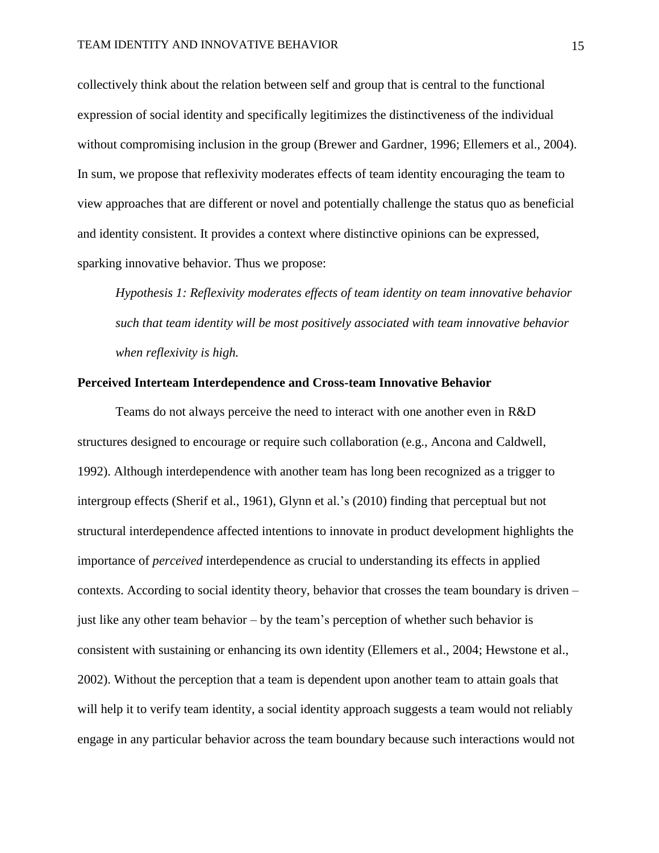collectively think about the relation between self and group that is central to the functional expression of social identity and specifically legitimizes the distinctiveness of the individual without compromising inclusion in the group (Brewer and Gardner, 1996; Ellemers et al., 2004). In sum, we propose that reflexivity moderates effects of team identity encouraging the team to view approaches that are different or novel and potentially challenge the status quo as beneficial and identity consistent. It provides a context where distinctive opinions can be expressed, sparking innovative behavior. Thus we propose:

*Hypothesis 1: Reflexivity moderates effects of team identity on team innovative behavior such that team identity will be most positively associated with team innovative behavior when reflexivity is high.*

#### **Perceived Interteam Interdependence and Cross-team Innovative Behavior**

Teams do not always perceive the need to interact with one another even in R&D structures designed to encourage or require such collaboration (e.g., Ancona and Caldwell, 1992). Although interdependence with another team has long been recognized as a trigger to intergroup effects (Sherif et al., 1961), Glynn et al.'s (2010) finding that perceptual but not structural interdependence affected intentions to innovate in product development highlights the importance of *perceived* interdependence as crucial to understanding its effects in applied contexts. According to social identity theory, behavior that crosses the team boundary is driven – just like any other team behavior – by the team's perception of whether such behavior is consistent with sustaining or enhancing its own identity (Ellemers et al., 2004; Hewstone et al., 2002). Without the perception that a team is dependent upon another team to attain goals that will help it to verify team identity, a social identity approach suggests a team would not reliably engage in any particular behavior across the team boundary because such interactions would not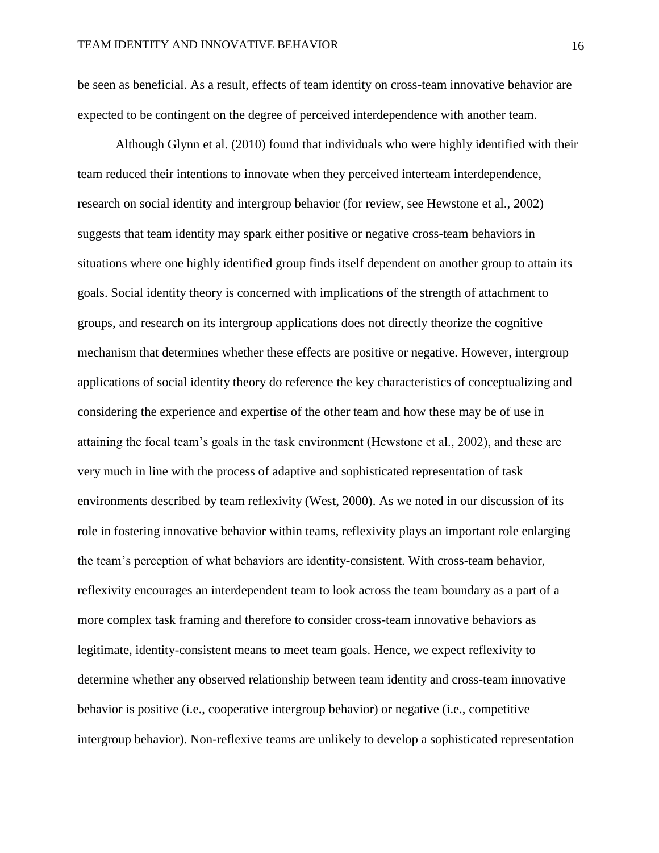be seen as beneficial. As a result, effects of team identity on cross-team innovative behavior are expected to be contingent on the degree of perceived interdependence with another team.

Although Glynn et al. (2010) found that individuals who were highly identified with their team reduced their intentions to innovate when they perceived interteam interdependence, research on social identity and intergroup behavior (for review, see Hewstone et al., 2002) suggests that team identity may spark either positive or negative cross-team behaviors in situations where one highly identified group finds itself dependent on another group to attain its goals. Social identity theory is concerned with implications of the strength of attachment to groups, and research on its intergroup applications does not directly theorize the cognitive mechanism that determines whether these effects are positive or negative. However, intergroup applications of social identity theory do reference the key characteristics of conceptualizing and considering the experience and expertise of the other team and how these may be of use in attaining the focal team's goals in the task environment (Hewstone et al., 2002), and these are very much in line with the process of adaptive and sophisticated representation of task environments described by team reflexivity (West, 2000). As we noted in our discussion of its role in fostering innovative behavior within teams, reflexivity plays an important role enlarging the team's perception of what behaviors are identity-consistent. With cross-team behavior, reflexivity encourages an interdependent team to look across the team boundary as a part of a more complex task framing and therefore to consider cross-team innovative behaviors as legitimate, identity-consistent means to meet team goals. Hence, we expect reflexivity to determine whether any observed relationship between team identity and cross-team innovative behavior is positive (i.e., cooperative intergroup behavior) or negative (i.e., competitive intergroup behavior). Non-reflexive teams are unlikely to develop a sophisticated representation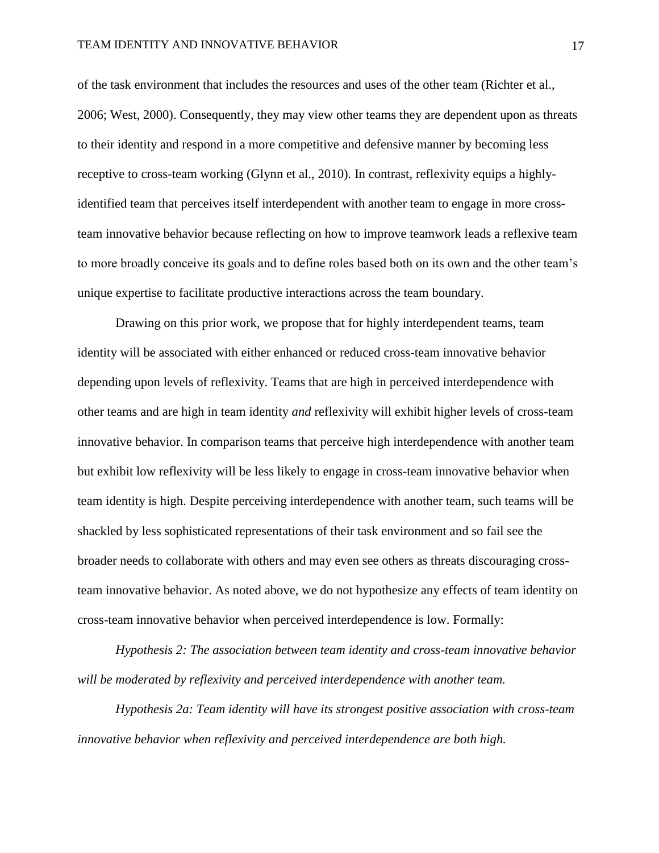of the task environment that includes the resources and uses of the other team (Richter et al., 2006; West, 2000). Consequently, they may view other teams they are dependent upon as threats to their identity and respond in a more competitive and defensive manner by becoming less receptive to cross-team working (Glynn et al., 2010). In contrast, reflexivity equips a highlyidentified team that perceives itself interdependent with another team to engage in more crossteam innovative behavior because reflecting on how to improve teamwork leads a reflexive team to more broadly conceive its goals and to define roles based both on its own and the other team's unique expertise to facilitate productive interactions across the team boundary.

Drawing on this prior work, we propose that for highly interdependent teams, team identity will be associated with either enhanced or reduced cross-team innovative behavior depending upon levels of reflexivity. Teams that are high in perceived interdependence with other teams and are high in team identity *and* reflexivity will exhibit higher levels of cross-team innovative behavior. In comparison teams that perceive high interdependence with another team but exhibit low reflexivity will be less likely to engage in cross-team innovative behavior when team identity is high. Despite perceiving interdependence with another team, such teams will be shackled by less sophisticated representations of their task environment and so fail see the broader needs to collaborate with others and may even see others as threats discouraging crossteam innovative behavior. As noted above, we do not hypothesize any effects of team identity on cross-team innovative behavior when perceived interdependence is low. Formally:

*Hypothesis 2: The association between team identity and cross-team innovative behavior will be moderated by reflexivity and perceived interdependence with another team.* 

*Hypothesis 2a: Team identity will have its strongest positive association with cross-team innovative behavior when reflexivity and perceived interdependence are both high.*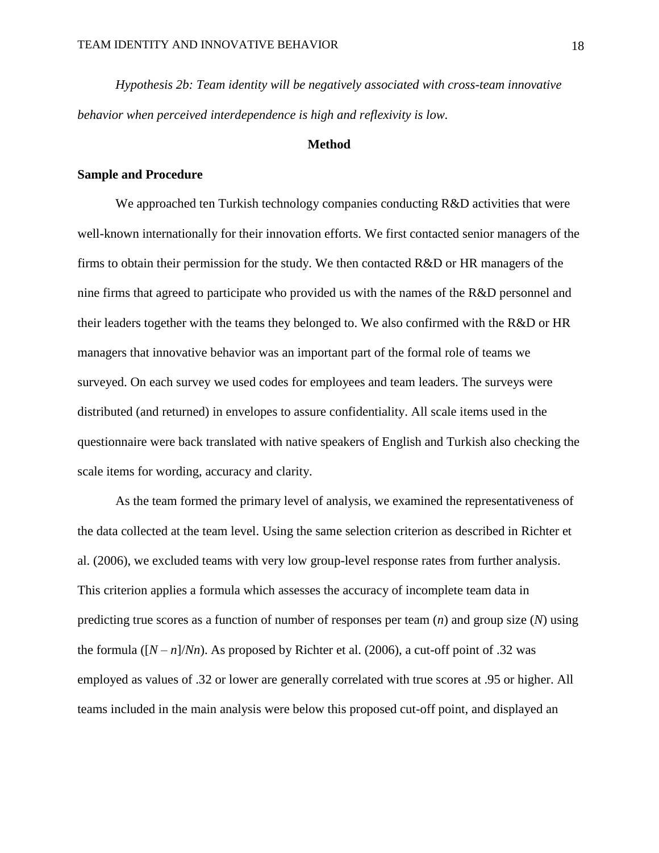*Hypothesis 2b: Team identity will be negatively associated with cross-team innovative behavior when perceived interdependence is high and reflexivity is low.*

### **Method**

#### **Sample and Procedure**

We approached ten Turkish technology companies conducting R&D activities that were well-known internationally for their innovation efforts. We first contacted senior managers of the firms to obtain their permission for the study. We then contacted R&D or HR managers of the nine firms that agreed to participate who provided us with the names of the R&D personnel and their leaders together with the teams they belonged to. We also confirmed with the R&D or HR managers that innovative behavior was an important part of the formal role of teams we surveyed. On each survey we used codes for employees and team leaders. The surveys were distributed (and returned) in envelopes to assure confidentiality. All scale items used in the questionnaire were back translated with native speakers of English and Turkish also checking the scale items for wording, accuracy and clarity.

As the team formed the primary level of analysis, we examined the representativeness of the data collected at the team level. Using the same selection criterion as described in Richter et al. (2006), we excluded teams with very low group-level response rates from further analysis. This criterion applies a formula which assesses the accuracy of incomplete team data in predicting true scores as a function of number of responses per team (*n*) and group size (*N*) using the formula  $([N - n]/Nn)$ . As proposed by Richter et al. (2006), a cut-off point of .32 was employed as values of .32 or lower are generally correlated with true scores at .95 or higher. All teams included in the main analysis were below this proposed cut-off point, and displayed an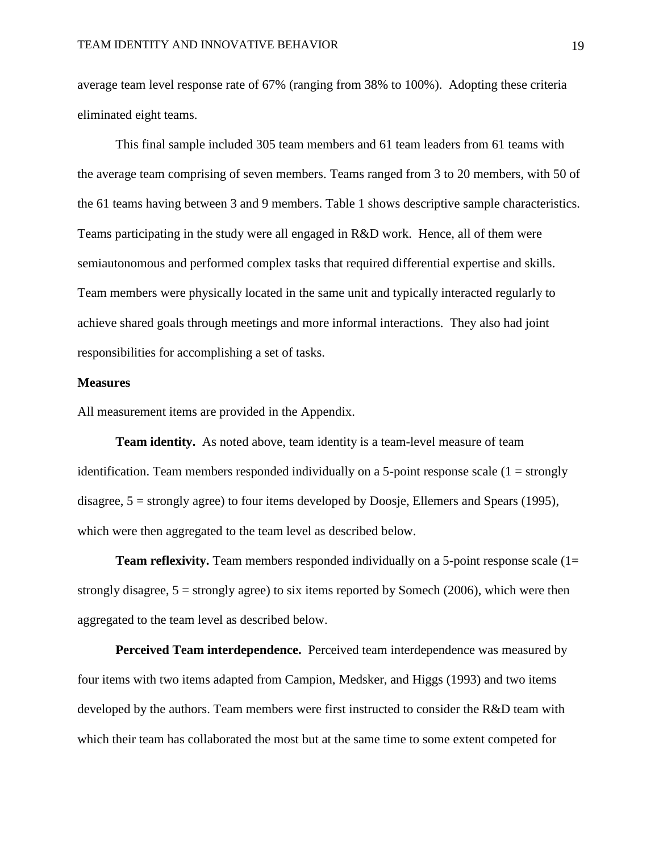average team level response rate of 67% (ranging from 38% to 100%). Adopting these criteria eliminated eight teams.

This final sample included 305 team members and 61 team leaders from 61 teams with the average team comprising of seven members. Teams ranged from 3 to 20 members, with 50 of the 61 teams having between 3 and 9 members. Table 1 shows descriptive sample characteristics. Teams participating in the study were all engaged in R&D work. Hence, all of them were semiautonomous and performed complex tasks that required differential expertise and skills. Team members were physically located in the same unit and typically interacted regularly to achieve shared goals through meetings and more informal interactions. They also had joint responsibilities for accomplishing a set of tasks.

#### **Measures**

All measurement items are provided in the Appendix.

**Team identity.** As noted above, team identity is a team-level measure of team identification. Team members responded individually on a 5-point response scale  $(1 = \text{strongly})$ disagree, 5 = strongly agree) to four items developed by Doosje, Ellemers and Spears (1995), which were then aggregated to the team level as described below.

**Team reflexivity.** Team members responded individually on a 5-point response scale (1= strongly disagree,  $5 =$  strongly agree) to six items reported by Somech (2006), which were then aggregated to the team level as described below.

**Perceived Team interdependence.** Perceived team interdependence was measured by four items with two items adapted from Campion, Medsker, and Higgs (1993) and two items developed by the authors. Team members were first instructed to consider the R&D team with which their team has collaborated the most but at the same time to some extent competed for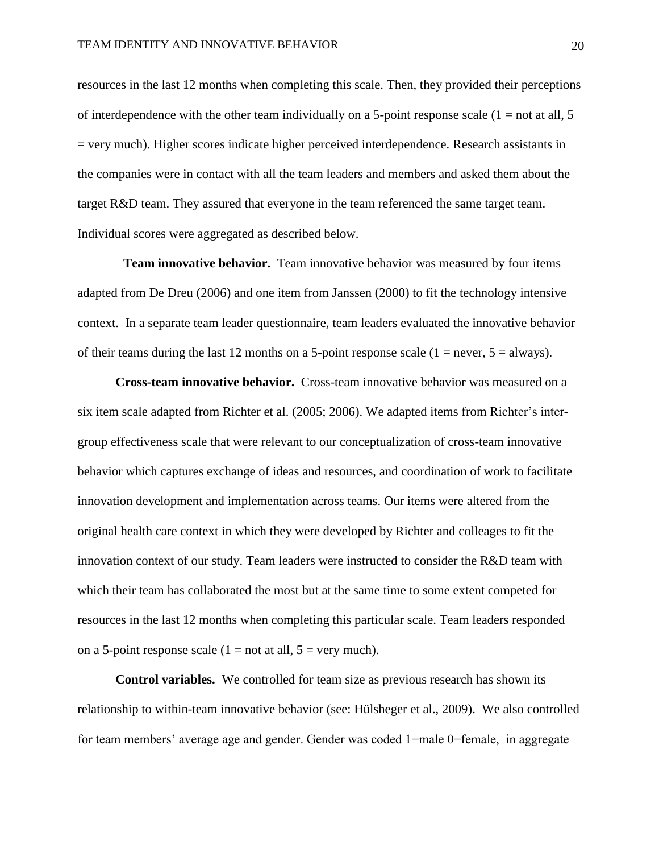resources in the last 12 months when completing this scale. Then, they provided their perceptions of interdependence with the other team individually on a 5-point response scale  $(1 = not at all, 5)$ = very much). Higher scores indicate higher perceived interdependence. Research assistants in the companies were in contact with all the team leaders and members and asked them about the target R&D team. They assured that everyone in the team referenced the same target team. Individual scores were aggregated as described below.

**Team innovative behavior.** Team innovative behavior was measured by four items adapted from De Dreu (2006) and one item from Janssen (2000) to fit the technology intensive context. In a separate team leader questionnaire, team leaders evaluated the innovative behavior of their teams during the last 12 months on a 5-point response scale  $(1 = never, 5 = always)$ .

**Cross-team innovative behavior.** Cross-team innovative behavior was measured on a six item scale adapted from Richter et al. (2005; 2006). We adapted items from Richter's intergroup effectiveness scale that were relevant to our conceptualization of cross-team innovative behavior which captures exchange of ideas and resources, and coordination of work to facilitate innovation development and implementation across teams. Our items were altered from the original health care context in which they were developed by Richter and colleages to fit the innovation context of our study. Team leaders were instructed to consider the R&D team with which their team has collaborated the most but at the same time to some extent competed for resources in the last 12 months when completing this particular scale. Team leaders responded on a 5-point response scale  $(1 = not at all, 5 = very much)$ .

**Control variables.** We controlled for team size as previous research has shown its relationship to within-team innovative behavior (see: Hülsheger et al., 2009). We also controlled for team members' average age and gender. Gender was coded 1=male 0=female, in aggregate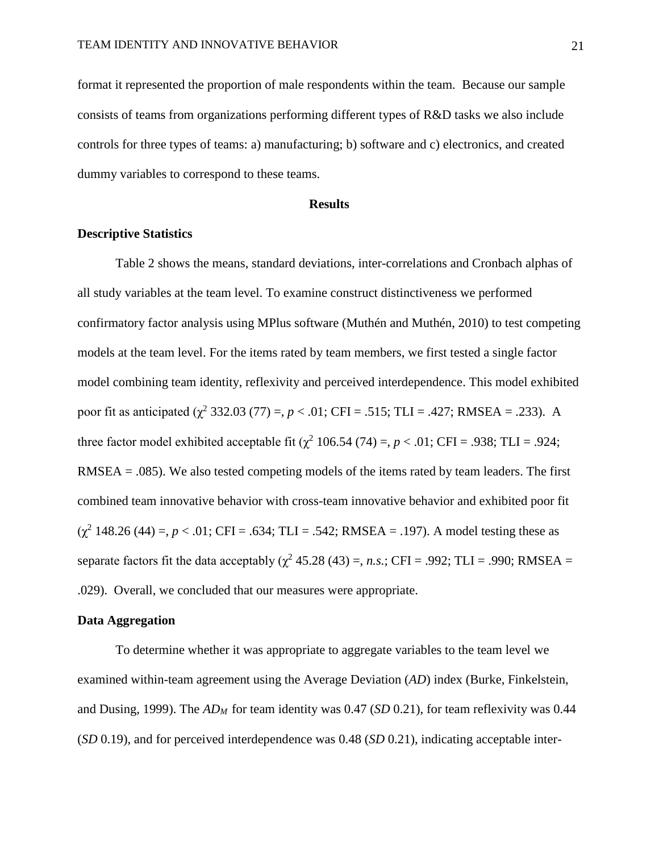format it represented the proportion of male respondents within the team. Because our sample consists of teams from organizations performing different types of R&D tasks we also include controls for three types of teams: a) manufacturing; b) software and c) electronics, and created dummy variables to correspond to these teams.

#### **Results**

#### **Descriptive Statistics**

Table 2 shows the means, standard deviations, inter-correlations and Cronbach alphas of all study variables at the team level. To examine construct distinctiveness we performed confirmatory factor analysis using MPlus software (Muthén and Muthén, 2010) to test competing models at the team level. For the items rated by team members, we first tested a single factor model combining team identity, reflexivity and perceived interdependence. This model exhibited poor fit as anticipated  $(\chi^2 332.03 (77) =$ ,  $p < .01$ ; CFI = .515; TLI = .427; RMSEA = .233). A three factor model exhibited acceptable fit  $(\chi^2 106.54 (74) =, p < .01; CFI = .938; TLI = .924;$ RMSEA  $= .085$ ). We also tested competing models of the items rated by team leaders. The first combined team innovative behavior with cross-team innovative behavior and exhibited poor fit  $(\chi^2 148.26 (44) =, p < .01$ ; CFI = .634; TLI = .542; RMSEA = .197). A model testing these as separate factors fit the data acceptably  $(\chi^2 45.28 (43) =, n.s.$ ; CFI = .992; TLI = .990; RMSEA = .029). Overall, we concluded that our measures were appropriate.

#### **Data Aggregation**

To determine whether it was appropriate to aggregate variables to the team level we examined within-team agreement using the Average Deviation (*AD*) index (Burke, Finkelstein, and Dusing, 1999). The *ADM* for team identity was 0.47 (*SD* 0.21), for team reflexivity was 0.44 (*SD* 0.19), and for perceived interdependence was 0.48 (*SD* 0.21), indicating acceptable inter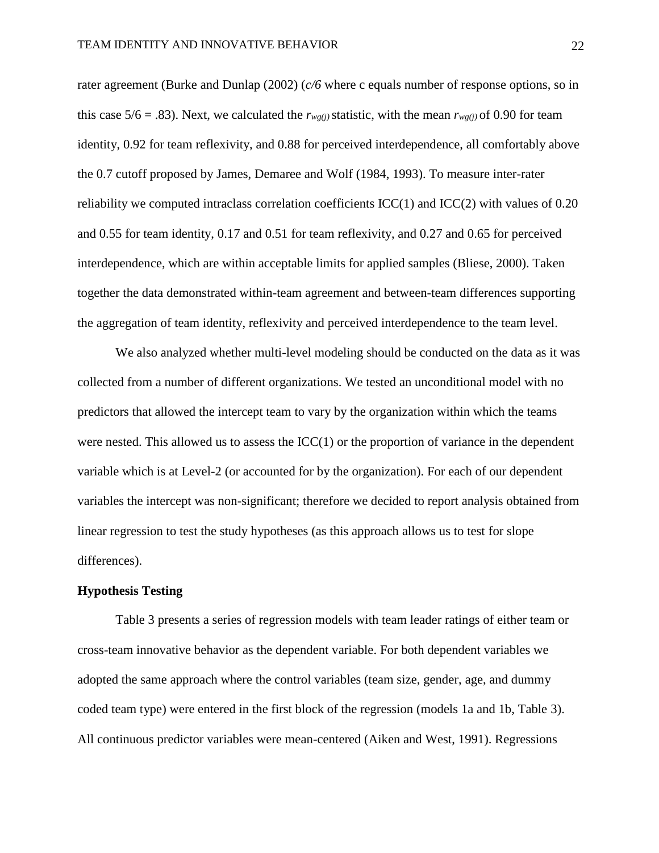rater agreement (Burke and Dunlap (2002) (*c/6* where c equals number of response options, so in this case 5/6 = .83). Next, we calculated the  $r_{wg(i)}$  statistic, with the mean  $r_{wg(i)}$  of 0.90 for team identity, 0.92 for team reflexivity, and 0.88 for perceived interdependence, all comfortably above the 0.7 cutoff proposed by James, Demaree and Wolf (1984, 1993). To measure inter-rater reliability we computed intraclass correlation coefficients  $\text{ICC}(1)$  and  $\text{ICC}(2)$  with values of 0.20 and 0.55 for team identity, 0.17 and 0.51 for team reflexivity, and 0.27 and 0.65 for perceived interdependence, which are within acceptable limits for applied samples (Bliese, 2000). Taken together the data demonstrated within-team agreement and between-team differences supporting the aggregation of team identity, reflexivity and perceived interdependence to the team level.

We also analyzed whether multi-level modeling should be conducted on the data as it was collected from a number of different organizations. We tested an unconditional model with no predictors that allowed the intercept team to vary by the organization within which the teams were nested. This allowed us to assess the  $ICC(1)$  or the proportion of variance in the dependent variable which is at Level-2 (or accounted for by the organization). For each of our dependent variables the intercept was non-significant; therefore we decided to report analysis obtained from linear regression to test the study hypotheses (as this approach allows us to test for slope differences).

#### **Hypothesis Testing**

Table 3 presents a series of regression models with team leader ratings of either team or cross-team innovative behavior as the dependent variable. For both dependent variables we adopted the same approach where the control variables (team size, gender, age, and dummy coded team type) were entered in the first block of the regression (models 1a and 1b, Table 3). All continuous predictor variables were mean-centered (Aiken and West, 1991). Regressions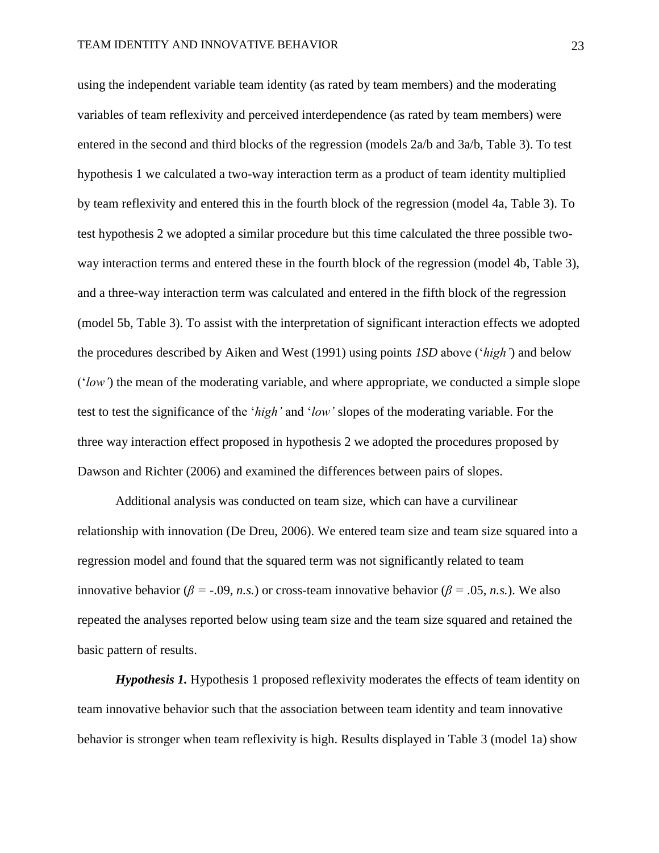using the independent variable team identity (as rated by team members) and the moderating variables of team reflexivity and perceived interdependence (as rated by team members) were entered in the second and third blocks of the regression (models 2a/b and 3a/b, Table 3). To test hypothesis 1 we calculated a two-way interaction term as a product of team identity multiplied by team reflexivity and entered this in the fourth block of the regression (model 4a, Table 3). To test hypothesis 2 we adopted a similar procedure but this time calculated the three possible twoway interaction terms and entered these in the fourth block of the regression (model 4b, Table 3), and a three-way interaction term was calculated and entered in the fifth block of the regression (model 5b, Table 3). To assist with the interpretation of significant interaction effects we adopted the procedures described by Aiken and West (1991) using points *1SD* above ('*high'*) and below ('*low'*) the mean of the moderating variable, and where appropriate, we conducted a simple slope test to test the significance of the '*high'* and '*low'* slopes of the moderating variable. For the three way interaction effect proposed in hypothesis 2 we adopted the procedures proposed by Dawson and Richter (2006) and examined the differences between pairs of slopes.

Additional analysis was conducted on team size, which can have a curvilinear relationship with innovation (De Dreu, 2006). We entered team size and team size squared into a regression model and found that the squared term was not significantly related to team innovative behavior ( $\beta$  = -.09, *n.s.*) or cross-team innovative behavior ( $\beta$  = .05, *n.s.*). We also repeated the analyses reported below using team size and the team size squared and retained the basic pattern of results.

*Hypothesis 1.* Hypothesis 1 proposed reflexivity moderates the effects of team identity on team innovative behavior such that the association between team identity and team innovative behavior is stronger when team reflexivity is high. Results displayed in Table 3 (model 1a) show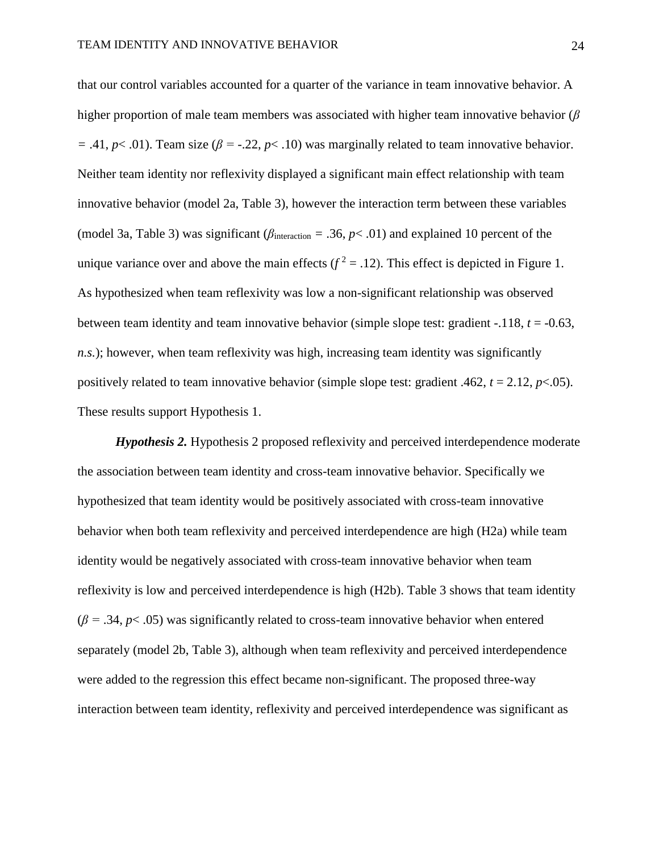that our control variables accounted for a quarter of the variance in team innovative behavior. A higher proportion of male team members was associated with higher team innovative behavior (*β*   $=$  .41,  $p$ < .01). Team size ( $\beta$  = -.22,  $p$ < .10) was marginally related to team innovative behavior. Neither team identity nor reflexivity displayed a significant main effect relationship with team innovative behavior (model 2a, Table 3), however the interaction term between these variables (model 3a, Table 3) was significant (*β*interaction *=* .36, *p*< .01) and explained 10 percent of the unique variance over and above the main effects  $(f^2 = .12)$ . This effect is depicted in Figure 1. As hypothesized when team reflexivity was low a non-significant relationship was observed between team identity and team innovative behavior (simple slope test: gradient -.118, *t* = -0.63, *n.s.*); however, when team reflexivity was high, increasing team identity was significantly positively related to team innovative behavior (simple slope test: gradient .462,  $t = 2.12$ ,  $p < .05$ ). These results support Hypothesis 1.

*Hypothesis 2.* Hypothesis 2 proposed reflexivity and perceived interdependence moderate the association between team identity and cross-team innovative behavior. Specifically we hypothesized that team identity would be positively associated with cross-team innovative behavior when both team reflexivity and perceived interdependence are high (H2a) while team identity would be negatively associated with cross-team innovative behavior when team reflexivity is low and perceived interdependence is high (H2b). Table 3 shows that team identity  $(\beta = .34, p < .05)$  was significantly related to cross-team innovative behavior when entered separately (model 2b, Table 3), although when team reflexivity and perceived interdependence were added to the regression this effect became non-significant. The proposed three-way interaction between team identity, reflexivity and perceived interdependence was significant as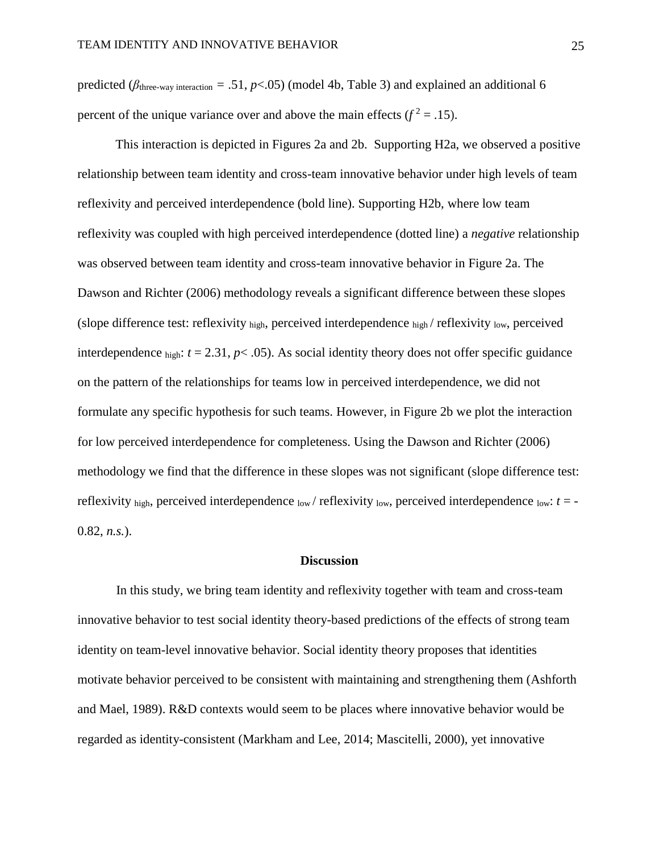predicted ( $\beta$ <sub>three-way interaction</sub> = .51, *p*<.05) (model 4b, Table 3) and explained an additional 6 percent of the unique variance over and above the main effects ( $f^2 = .15$ ).

This interaction is depicted in Figures 2a and 2b. Supporting H2a, we observed a positive relationship between team identity and cross-team innovative behavior under high levels of team reflexivity and perceived interdependence (bold line). Supporting H2b, where low team reflexivity was coupled with high perceived interdependence (dotted line) a *negative* relationship was observed between team identity and cross-team innovative behavior in Figure 2a. The Dawson and Richter (2006) methodology reveals a significant difference between these slopes (slope difference test: reflexivity high, perceived interdependence high / reflexivity low, perceived interdependence  $\phi$ <sub>high</sub>:  $t = 2.31$ ,  $p < .05$ ). As social identity theory does not offer specific guidance on the pattern of the relationships for teams low in perceived interdependence, we did not formulate any specific hypothesis for such teams. However, in Figure 2b we plot the interaction for low perceived interdependence for completeness. Using the Dawson and Richter (2006) methodology we find that the difference in these slopes was not significant (slope difference test: reflexivity <sub>high</sub>, perceived interdependence  $_{\text{low}}$  / reflexivity  $_{\text{low}}$ , perceived interdependence  $_{\text{low}}$ :  $t = -$ 0.82, *n.s.*).

#### **Discussion**

In this study, we bring team identity and reflexivity together with team and cross-team innovative behavior to test social identity theory-based predictions of the effects of strong team identity on team-level innovative behavior. Social identity theory proposes that identities motivate behavior perceived to be consistent with maintaining and strengthening them (Ashforth and Mael, 1989). R&D contexts would seem to be places where innovative behavior would be regarded as identity-consistent (Markham and Lee, 2014; Mascitelli, 2000), yet innovative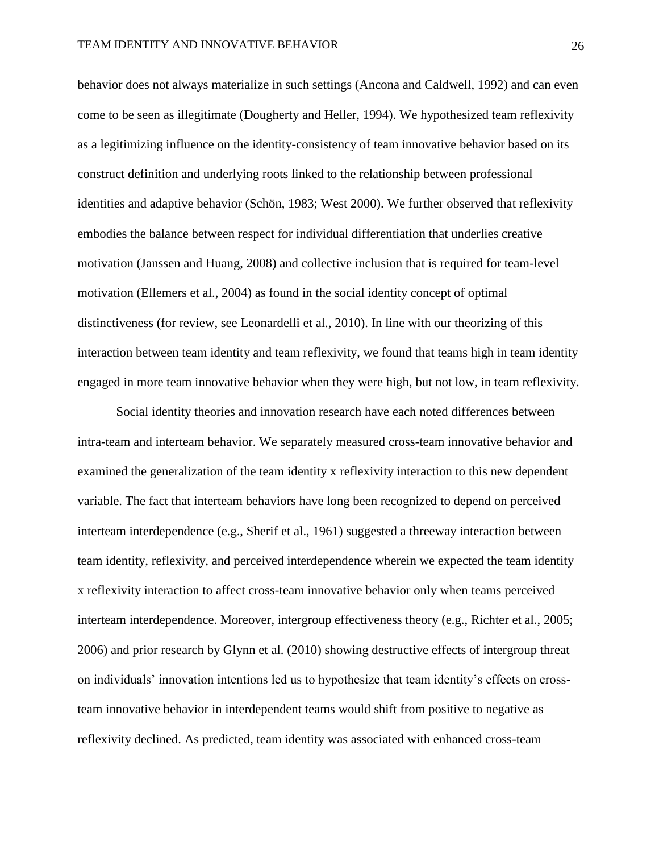behavior does not always materialize in such settings (Ancona and Caldwell, 1992) and can even come to be seen as illegitimate (Dougherty and Heller, 1994). We hypothesized team reflexivity as a legitimizing influence on the identity-consistency of team innovative behavior based on its construct definition and underlying roots linked to the relationship between professional identities and adaptive behavior (Schön, 1983; West 2000). We further observed that reflexivity embodies the balance between respect for individual differentiation that underlies creative motivation (Janssen and Huang, 2008) and collective inclusion that is required for team-level motivation (Ellemers et al., 2004) as found in the social identity concept of optimal distinctiveness (for review, see Leonardelli et al., 2010). In line with our theorizing of this interaction between team identity and team reflexivity, we found that teams high in team identity engaged in more team innovative behavior when they were high, but not low, in team reflexivity.

Social identity theories and innovation research have each noted differences between intra-team and interteam behavior. We separately measured cross-team innovative behavior and examined the generalization of the team identity x reflexivity interaction to this new dependent variable. The fact that interteam behaviors have long been recognized to depend on perceived interteam interdependence (e.g., Sherif et al., 1961) suggested a threeway interaction between team identity, reflexivity, and perceived interdependence wherein we expected the team identity x reflexivity interaction to affect cross-team innovative behavior only when teams perceived interteam interdependence. Moreover, intergroup effectiveness theory (e.g., Richter et al., 2005; 2006) and prior research by Glynn et al. (2010) showing destructive effects of intergroup threat on individuals' innovation intentions led us to hypothesize that team identity's effects on crossteam innovative behavior in interdependent teams would shift from positive to negative as reflexivity declined. As predicted, team identity was associated with enhanced cross-team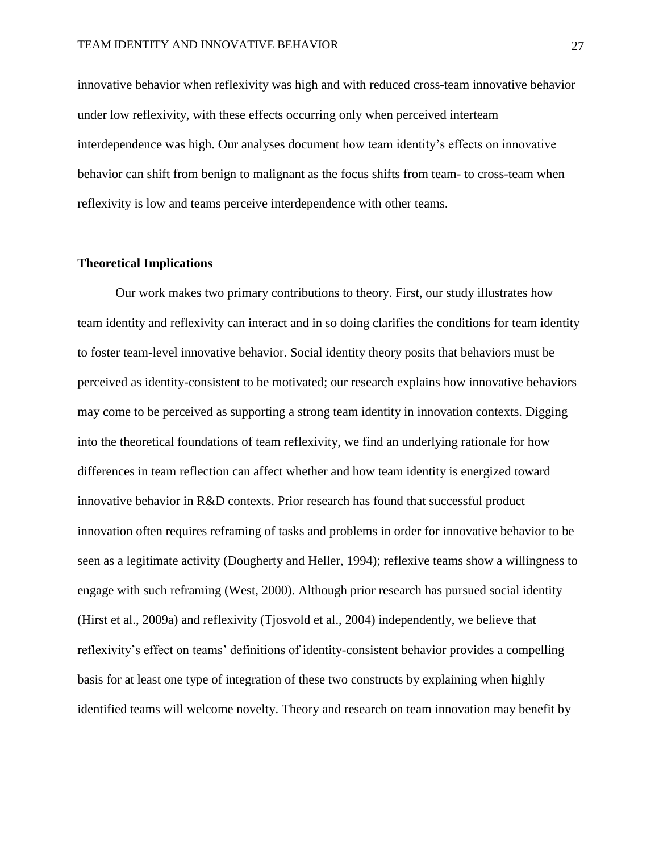innovative behavior when reflexivity was high and with reduced cross-team innovative behavior under low reflexivity, with these effects occurring only when perceived interteam interdependence was high. Our analyses document how team identity's effects on innovative behavior can shift from benign to malignant as the focus shifts from team- to cross-team when reflexivity is low and teams perceive interdependence with other teams.

#### **Theoretical Implications**

Our work makes two primary contributions to theory. First, our study illustrates how team identity and reflexivity can interact and in so doing clarifies the conditions for team identity to foster team-level innovative behavior. Social identity theory posits that behaviors must be perceived as identity-consistent to be motivated; our research explains how innovative behaviors may come to be perceived as supporting a strong team identity in innovation contexts. Digging into the theoretical foundations of team reflexivity, we find an underlying rationale for how differences in team reflection can affect whether and how team identity is energized toward innovative behavior in R&D contexts. Prior research has found that successful product innovation often requires reframing of tasks and problems in order for innovative behavior to be seen as a legitimate activity (Dougherty and Heller, 1994); reflexive teams show a willingness to engage with such reframing (West, 2000). Although prior research has pursued social identity (Hirst et al., 2009a) and reflexivity (Tjosvold et al., 2004) independently, we believe that reflexivity's effect on teams' definitions of identity-consistent behavior provides a compelling basis for at least one type of integration of these two constructs by explaining when highly identified teams will welcome novelty. Theory and research on team innovation may benefit by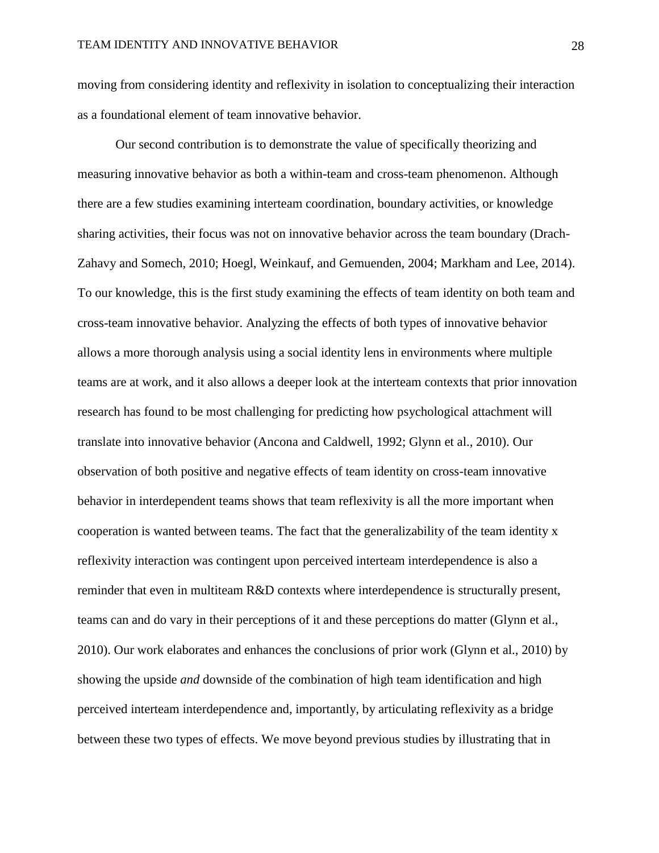moving from considering identity and reflexivity in isolation to conceptualizing their interaction as a foundational element of team innovative behavior.

Our second contribution is to demonstrate the value of specifically theorizing and measuring innovative behavior as both a within-team and cross-team phenomenon. Although there are a few studies examining interteam coordination, boundary activities, or knowledge sharing activities, their focus was not on innovative behavior across the team boundary (Drach-Zahavy and Somech, 2010; Hoegl, Weinkauf, and Gemuenden, 2004; Markham and Lee, 2014). To our knowledge, this is the first study examining the effects of team identity on both team and cross-team innovative behavior. Analyzing the effects of both types of innovative behavior allows a more thorough analysis using a social identity lens in environments where multiple teams are at work, and it also allows a deeper look at the interteam contexts that prior innovation research has found to be most challenging for predicting how psychological attachment will translate into innovative behavior (Ancona and Caldwell, 1992; Glynn et al., 2010). Our observation of both positive and negative effects of team identity on cross-team innovative behavior in interdependent teams shows that team reflexivity is all the more important when cooperation is wanted between teams. The fact that the generalizability of the team identity x reflexivity interaction was contingent upon perceived interteam interdependence is also a reminder that even in multiteam R&D contexts where interdependence is structurally present, teams can and do vary in their perceptions of it and these perceptions do matter (Glynn et al., 2010). Our work elaborates and enhances the conclusions of prior work (Glynn et al., 2010) by showing the upside *and* downside of the combination of high team identification and high perceived interteam interdependence and, importantly, by articulating reflexivity as a bridge between these two types of effects. We move beyond previous studies by illustrating that in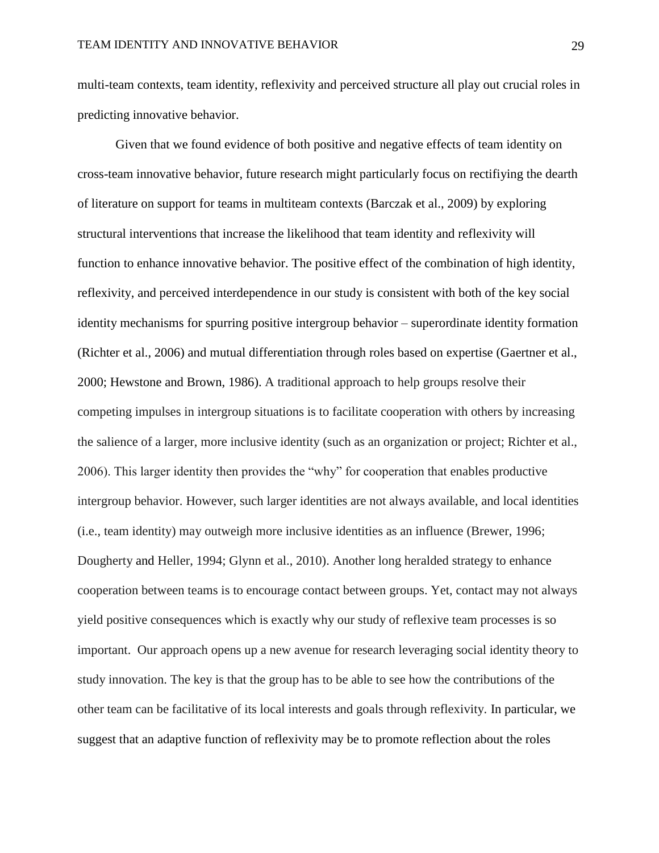multi-team contexts, team identity, reflexivity and perceived structure all play out crucial roles in predicting innovative behavior.

Given that we found evidence of both positive and negative effects of team identity on cross-team innovative behavior, future research might particularly focus on rectifiying the dearth of literature on support for teams in multiteam contexts (Barczak et al., 2009) by exploring structural interventions that increase the likelihood that team identity and reflexivity will function to enhance innovative behavior. The positive effect of the combination of high identity, reflexivity, and perceived interdependence in our study is consistent with both of the key social identity mechanisms for spurring positive intergroup behavior – superordinate identity formation (Richter et al., 2006) and mutual differentiation through roles based on expertise (Gaertner et al., 2000; Hewstone and Brown, 1986). A traditional approach to help groups resolve their competing impulses in intergroup situations is to facilitate cooperation with others by increasing the salience of a larger, more inclusive identity (such as an organization or project; Richter et al., 2006). This larger identity then provides the "why" for cooperation that enables productive intergroup behavior. However, such larger identities are not always available, and local identities (i.e., team identity) may outweigh more inclusive identities as an influence (Brewer, 1996; Dougherty and Heller, 1994; Glynn et al., 2010). Another long heralded strategy to enhance cooperation between teams is to encourage contact between groups. Yet, contact may not always yield positive consequences which is exactly why our study of reflexive team processes is so important. Our approach opens up a new avenue for research leveraging social identity theory to study innovation. The key is that the group has to be able to see how the contributions of the other team can be facilitative of its local interests and goals through reflexivity. In particular, we suggest that an adaptive function of reflexivity may be to promote reflection about the roles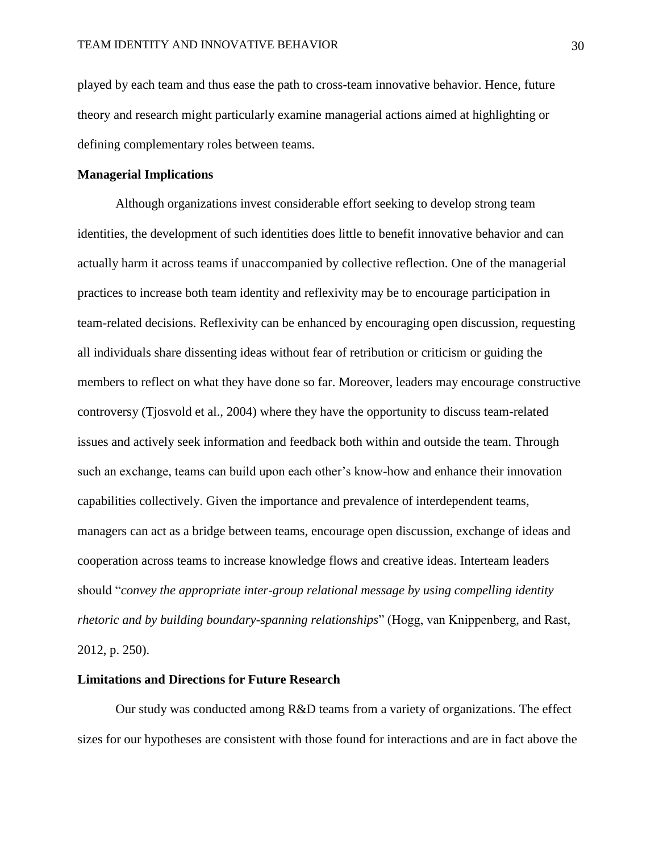played by each team and thus ease the path to cross-team innovative behavior. Hence, future theory and research might particularly examine managerial actions aimed at highlighting or defining complementary roles between teams.

#### **Managerial Implications**

Although organizations invest considerable effort seeking to develop strong team identities, the development of such identities does little to benefit innovative behavior and can actually harm it across teams if unaccompanied by collective reflection. One of the managerial practices to increase both team identity and reflexivity may be to encourage participation in team-related decisions. Reflexivity can be enhanced by encouraging open discussion, requesting all individuals share dissenting ideas without fear of retribution or criticism or guiding the members to reflect on what they have done so far. Moreover, leaders may encourage constructive controversy (Tjosvold et al., 2004) where they have the opportunity to discuss team-related issues and actively seek information and feedback both within and outside the team. Through such an exchange, teams can build upon each other's know-how and enhance their innovation capabilities collectively. Given the importance and prevalence of interdependent teams, managers can act as a bridge between teams, encourage open discussion, exchange of ideas and cooperation across teams to increase knowledge flows and creative ideas. Interteam leaders should "*convey the appropriate inter-group relational message by using compelling identity rhetoric and by building boundary-spanning relationships*" (Hogg, van Knippenberg, and Rast, 2012, p. 250).

#### **Limitations and Directions for Future Research**

Our study was conducted among R&D teams from a variety of organizations. The effect sizes for our hypotheses are consistent with those found for interactions and are in fact above the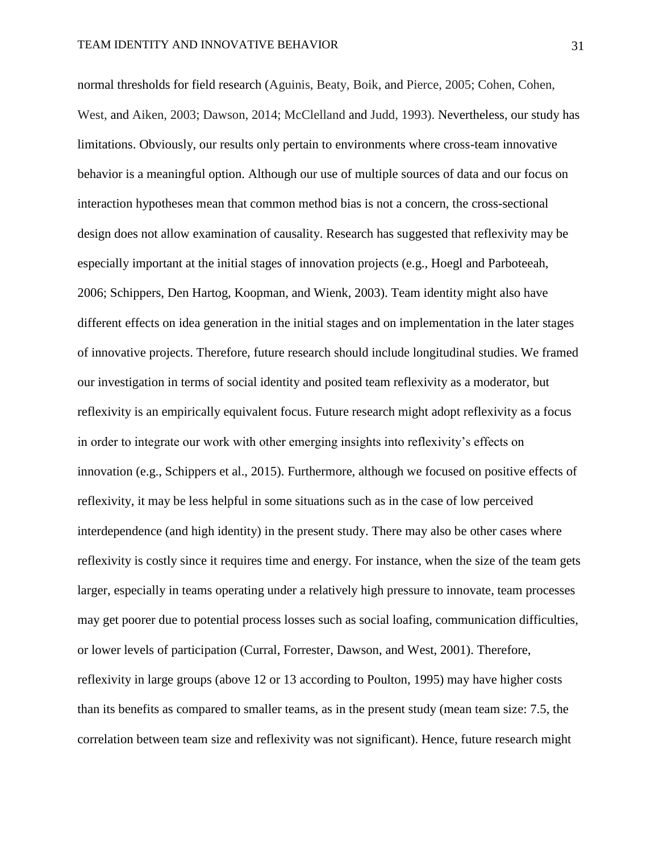normal thresholds for field research (Aguinis, Beaty, Boik, and Pierce, 2005; Cohen, Cohen, West, and Aiken, 2003; Dawson, 2014; McClelland and Judd, 1993). Nevertheless, our study has limitations. Obviously, our results only pertain to environments where cross-team innovative behavior is a meaningful option. Although our use of multiple sources of data and our focus on interaction hypotheses mean that common method bias is not a concern, the cross-sectional design does not allow examination of causality. Research has suggested that reflexivity may be especially important at the initial stages of innovation projects (e.g., Hoegl and Parboteeah, 2006; Schippers, Den Hartog, Koopman, and Wienk, 2003). Team identity might also have different effects on idea generation in the initial stages and on implementation in the later stages of innovative projects. Therefore, future research should include longitudinal studies. We framed our investigation in terms of social identity and posited team reflexivity as a moderator, but reflexivity is an empirically equivalent focus. Future research might adopt reflexivity as a focus in order to integrate our work with other emerging insights into reflexivity's effects on innovation (e.g., Schippers et al., 2015). Furthermore, although we focused on positive effects of reflexivity, it may be less helpful in some situations such as in the case of low perceived interdependence (and high identity) in the present study. There may also be other cases where reflexivity is costly since it requires time and energy. For instance, when the size of the team gets larger, especially in teams operating under a relatively high pressure to innovate, team processes may get poorer due to potential process losses such as social loafing, communication difficulties, or lower levels of participation (Curral, Forrester, Dawson, and West, 2001). Therefore, reflexivity in large groups (above 12 or 13 according to Poulton, 1995) may have higher costs than its benefits as compared to smaller teams, as in the present study (mean team size: 7.5, the correlation between team size and reflexivity was not significant). Hence, future research might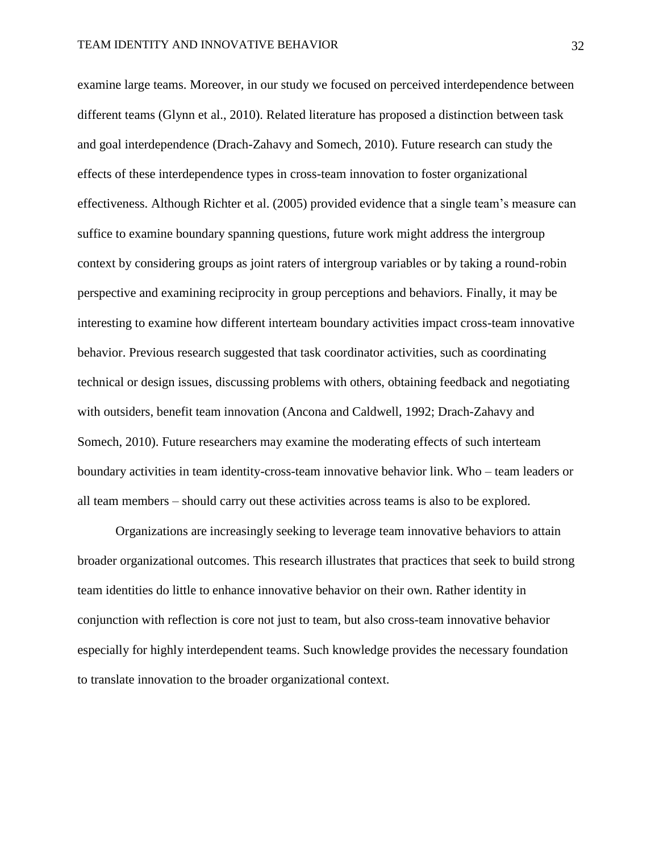examine large teams. Moreover, in our study we focused on perceived interdependence between different teams (Glynn et al., 2010). Related literature has proposed a distinction between task and goal interdependence (Drach-Zahavy and Somech, 2010). Future research can study the effects of these interdependence types in cross-team innovation to foster organizational effectiveness. Although Richter et al. (2005) provided evidence that a single team's measure can suffice to examine boundary spanning questions, future work might address the intergroup context by considering groups as joint raters of intergroup variables or by taking a round-robin perspective and examining reciprocity in group perceptions and behaviors. Finally, it may be interesting to examine how different interteam boundary activities impact cross-team innovative behavior. Previous research suggested that task coordinator activities, such as coordinating technical or design issues, discussing problems with others, obtaining feedback and negotiating with outsiders, benefit team innovation (Ancona and Caldwell, 1992; Drach-Zahavy and Somech, 2010). Future researchers may examine the moderating effects of such interteam boundary activities in team identity-cross-team innovative behavior link. Who – team leaders or all team members – should carry out these activities across teams is also to be explored.

Organizations are increasingly seeking to leverage team innovative behaviors to attain broader organizational outcomes. This research illustrates that practices that seek to build strong team identities do little to enhance innovative behavior on their own. Rather identity in conjunction with reflection is core not just to team, but also cross-team innovative behavior especially for highly interdependent teams. Such knowledge provides the necessary foundation to translate innovation to the broader organizational context.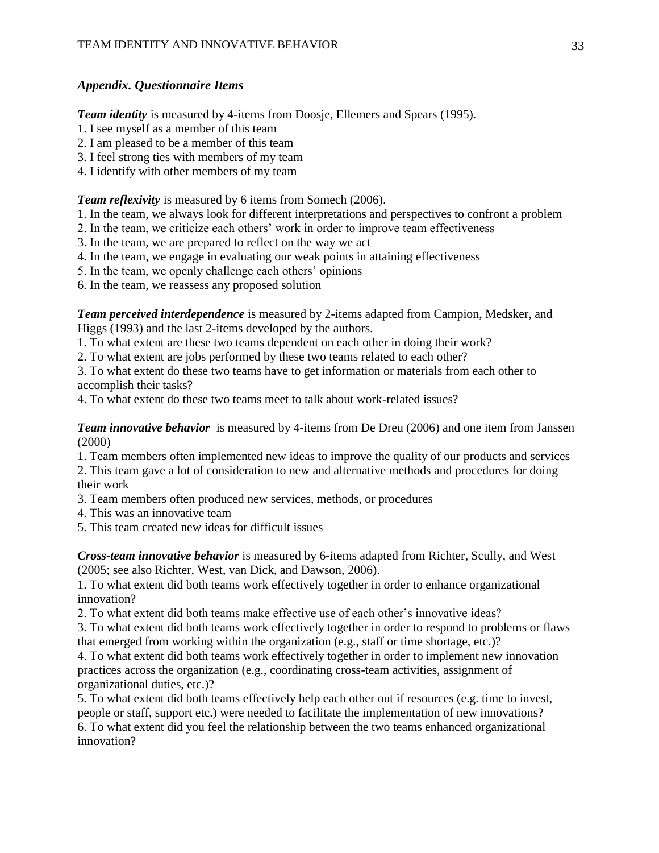# *Appendix. Questionnaire Items*

*Team identity* is measured by 4-items from Doosje, Ellemers and Spears (1995).

- 1. I see myself as a member of this team
- 2. I am pleased to be a member of this team
- 3. I feel strong ties with members of my team
- 4. I identify with other members of my team

*Team reflexivity* is measured by 6 items from Somech (2006).

- 1. In the team, we always look for different interpretations and perspectives to confront a problem
- 2. In the team, we criticize each others' work in order to improve team effectiveness
- 3. In the team, we are prepared to reflect on the way we act
- 4. In the team, we engage in evaluating our weak points in attaining effectiveness
- 5. In the team, we openly challenge each others' opinions
- 6. In the team, we reassess any proposed solution

*Team perceived interdependence* is measured by 2-items adapted from Campion, Medsker, and Higgs (1993) and the last 2-items developed by the authors.

1. To what extent are these two teams dependent on each other in doing their work?

2. To what extent are jobs performed by these two teams related to each other?

3. To what extent do these two teams have to get information or materials from each other to accomplish their tasks?

4. To what extent do these two teams meet to talk about work-related issues?

*Team innovative behavior* is measured by 4-items from De Dreu (2006) and one item from Janssen (2000)

1. Team members often implemented new ideas to improve the quality of our products and services

2. This team gave a lot of consideration to new and alternative methods and procedures for doing their work

3. Team members often produced new services, methods, or procedures

- 4. This was an innovative team
- 5. This team created new ideas for difficult issues

*Cross-team innovative behavior* is measured by 6-items adapted from Richter, Scully, and West (2005; see also Richter, West, van Dick, and Dawson, 2006).

1. To what extent did both teams work effectively together in order to enhance organizational innovation?

2. To what extent did both teams make effective use of each other's innovative ideas?

3. To what extent did both teams work effectively together in order to respond to problems or flaws that emerged from working within the organization (e.g., staff or time shortage, etc.)?

4. To what extent did both teams work effectively together in order to implement new innovation practices across the organization (e.g., coordinating cross-team activities, assignment of organizational duties, etc.)?

5. To what extent did both teams effectively help each other out if resources (e.g. time to invest, people or staff, support etc.) were needed to facilitate the implementation of new innovations? 6. To what extent did you feel the relationship between the two teams enhanced organizational innovation?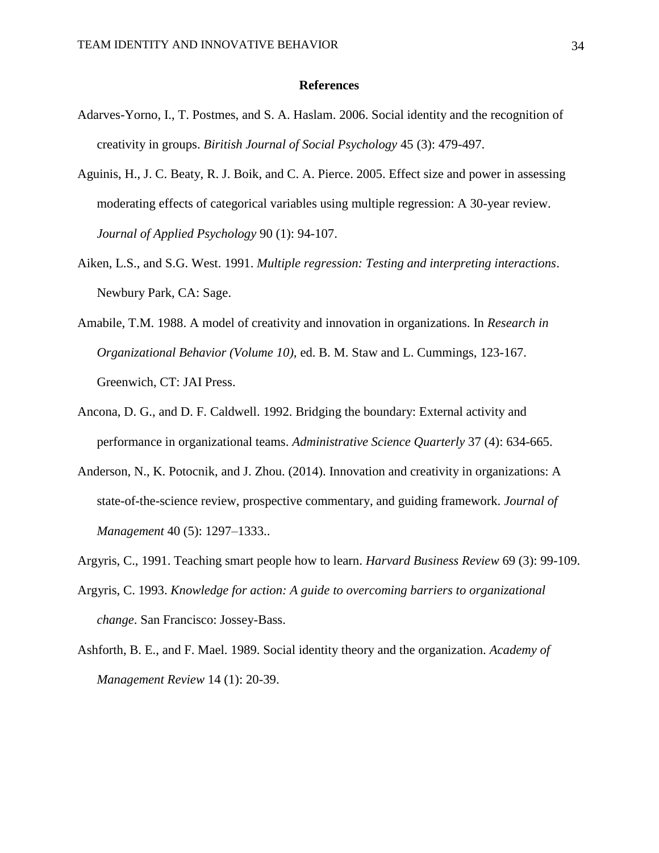#### **References**

- Adarves-Yorno, I., T. Postmes, and S. A. Haslam. 2006. Social identity and the recognition of creativity in groups. *Biritish Journal of Social Psychology* 45 (3): 479-497.
- Aguinis, H., J. C. Beaty, R. J. Boik, and C. A. Pierce. 2005. Effect size and power in assessing moderating effects of categorical variables using multiple regression: A 30-year review. *Journal of Applied Psychology* 90 (1): 94-107.
- Aiken, L.S., and S.G. West. 1991. *Multiple regression: Testing and interpreting interactions*. Newbury Park, CA: Sage.
- Amabile, T.M. 1988. A model of creativity and innovation in organizations. In *Research in Organizational Behavior (Volume 10),* ed. B. M. Staw and L. Cummings, 123-167. Greenwich, CT: JAI Press.
- Ancona, D. G., and D. F. Caldwell. 1992. Bridging the boundary: External activity and performance in organizational teams. *Administrative Science Quarterly* 37 (4): 634-665.
- Anderson, N., K. Potocnik, and J. Zhou. (2014). Innovation and creativity in organizations: A state-of-the-science review, prospective commentary, and guiding framework. *Journal of Management* 40 (5): 1297–1333..
- Argyris, C., 1991. Teaching smart people how to learn. *Harvard Business Review* 69 (3): 99-109.
- Argyris, C. 1993. *Knowledge for action: A guide to overcoming barriers to organizational change*. San Francisco: Jossey-Bass.
- Ashforth, B. E., and F. Mael. 1989. Social identity theory and the organization. *Academy of Management Review* 14 (1): 20-39.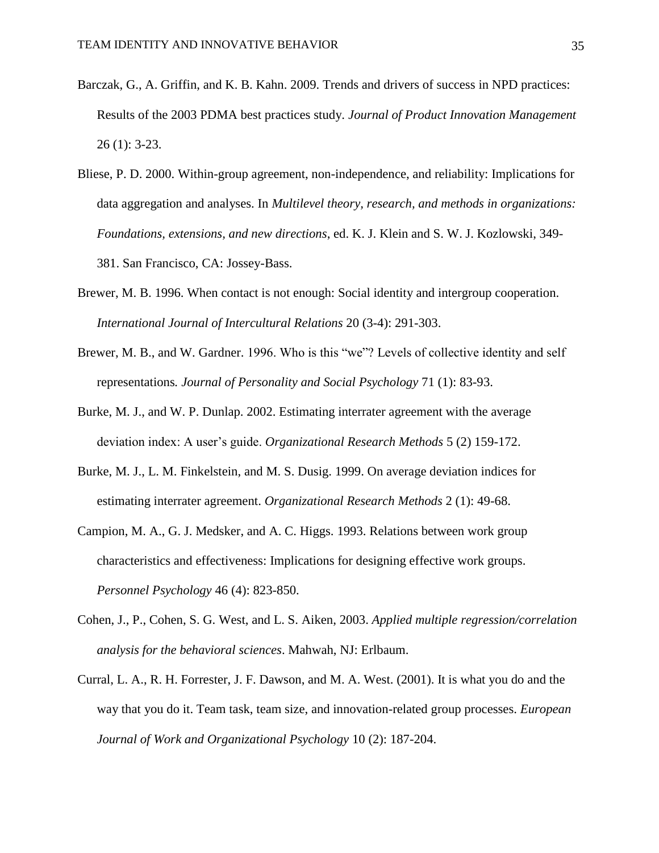- Barczak, G., A. Griffin, and K. B. Kahn. 2009. Trends and drivers of success in NPD practices: Results of the 2003 PDMA best practices study. *Journal of Product Innovation Management* 26 (1): 3-23.
- Bliese, P. D. 2000. Within-group agreement, non-independence, and reliability: Implications for data aggregation and analyses. In *Multilevel theory, research, and methods in organizations: Foundations, extensions, and new directions*, ed. K. J. Klein and S. W. J. Kozlowski, 349- 381. San Francisco, CA: Jossey-Bass.
- Brewer, M. B. 1996. When contact is not enough: Social identity and intergroup cooperation. *International Journal of Intercultural Relations* 20 (3-4): 291-303.
- Brewer, M. B., and W. Gardner. 1996. Who is this "we"? Levels of collective identity and self representations*. Journal of Personality and Social Psychology* 71 (1): 83-93.
- Burke, M. J., and W. P. Dunlap. 2002. Estimating interrater agreement with the average deviation index: A user's guide. *Organizational Research Methods* 5 (2) 159-172.
- Burke, M. J., L. M. Finkelstein, and M. S. Dusig. 1999. On average deviation indices for estimating interrater agreement. *Organizational Research Methods* 2 (1): 49-68.
- Campion, M. A., G. J. Medsker, and A. C. Higgs. 1993. Relations between work group characteristics and effectiveness: Implications for designing effective work groups. *Personnel Psychology* 46 (4): 823-850.
- Cohen, J., P., Cohen, S. G. West, and L. S. Aiken, 2003. *Applied multiple regression/correlation analysis for the behavioral sciences*. Mahwah, NJ: Erlbaum.
- Curral, L. A., R. H. Forrester, J. F. Dawson, and M. A. West. (2001). It is what you do and the way that you do it. Team task, team size, and innovation-related group processes. *European Journal of Work and Organizational Psychology* 10 (2): 187-204.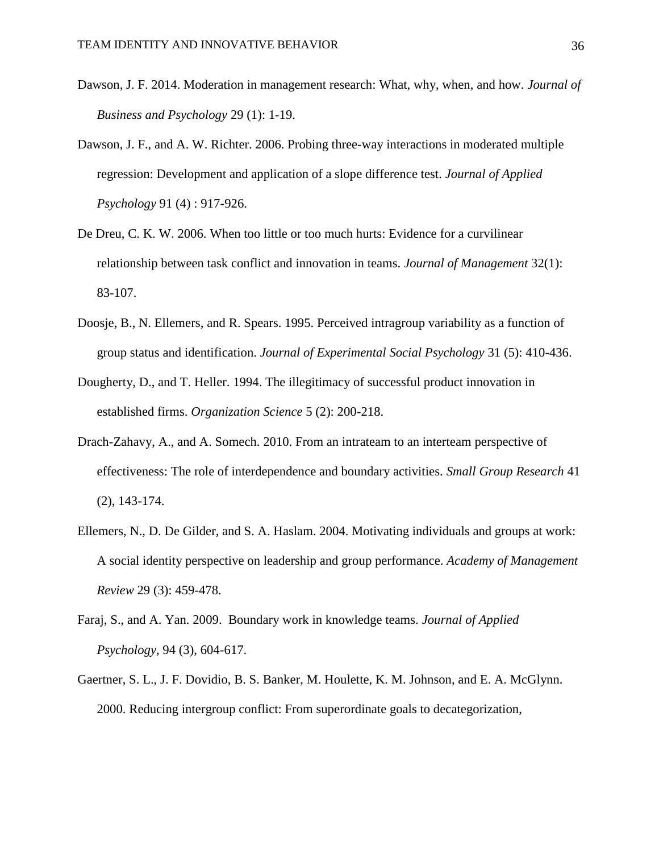- Dawson, J. F. 2014. Moderation in management research: What, why, when, and how. *Journal of Business and Psychology* 29 (1): 1-19.
- Dawson, J. F., and A. W. Richter. 2006. Probing three-way interactions in moderated multiple regression: Development and application of a slope difference test. *Journal of Applied Psychology* 91 (4) : 917-926.
- De Dreu, C. K. W. 2006. When too little or too much hurts: Evidence for a curvilinear relationship between task conflict and innovation in teams. *Journal of Management* 32(1): 83-107.
- Doosje, B., N. Ellemers, and R. Spears. 1995. Perceived intragroup variability as a function of group status and identification. *Journal of Experimental Social Psychology* 31 (5): 410-436.
- Dougherty, D., and T. Heller. 1994. The illegitimacy of successful product innovation in established firms. *Organization Science* 5 (2): 200-218.
- Drach-Zahavy, A., and A. Somech. 2010. From an intrateam to an interteam perspective of effectiveness: The role of interdependence and boundary activities. *Small Group Research* 41 (2), 143-174.
- Ellemers, N., D. De Gilder, and S. A. Haslam. 2004. Motivating individuals and groups at work: A social identity perspective on leadership and group performance. *Academy of Management Review* 29 (3): 459-478.
- Faraj, S., and A. Yan. 2009. Boundary work in knowledge teams. *Journal of Applied Psychology,* 94 (3), 604-617.
- Gaertner, S. L., J. F. Dovidio, B. S. Banker, M. Houlette, K. M. Johnson, and E. A. McGlynn. 2000. Reducing intergroup conflict: From superordinate goals to decategorization,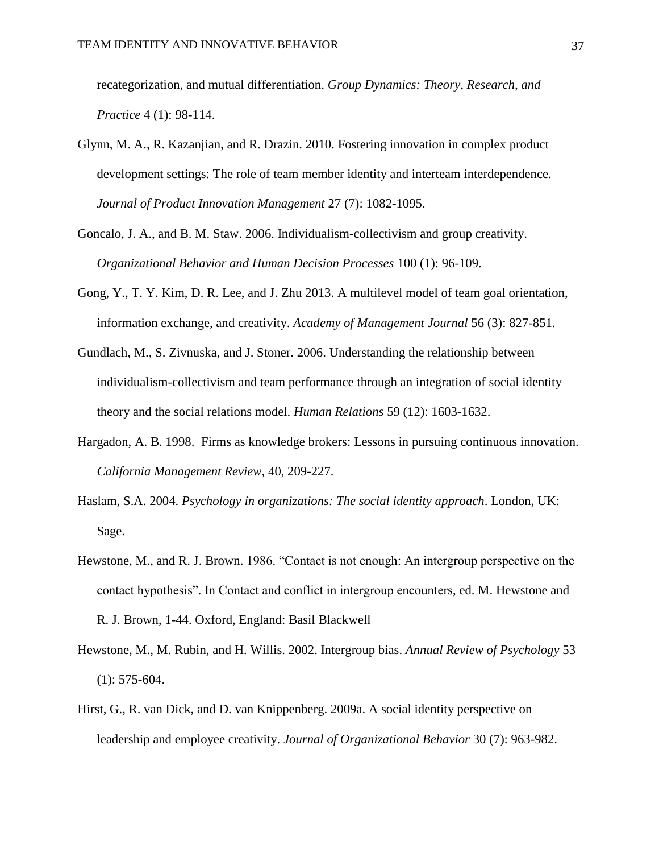recategorization, and mutual differentiation. *Group Dynamics: Theory, Research, and Practice* 4 (1): 98-114.

- Glynn, M. A., R. Kazanjian, and R. Drazin. 2010. Fostering innovation in complex product development settings: The role of team member identity and interteam interdependence. *Journal of Product Innovation Management* 27 (7): 1082-1095.
- Goncalo, J. A., and B. M. Staw. 2006. Individualism-collectivism and group creativity. *Organizational Behavior and Human Decision Processes* 100 (1): 96-109.
- Gong, Y., T. Y. Kim, D. R. Lee, and J. Zhu 2013. A multilevel model of team goal orientation, information exchange, and creativity. *Academy of Management Journal* 56 (3): 827-851.
- Gundlach, M., S. Zivnuska, and J. Stoner. 2006. Understanding the relationship between individualism-collectivism and team performance through an integration of social identity theory and the social relations model. *Human Relations* 59 (12): 1603-1632.
- Hargadon, A. B. 1998. Firms as knowledge brokers: Lessons in pursuing continuous innovation. *California Management Review,* 40, 209-227.
- Haslam, S.A. 2004. *Psychology in organizations: The social identity approach*. London, UK: Sage.
- Hewstone, M., and R. J. Brown. 1986. "Contact is not enough: An intergroup perspective on the contact hypothesis". In Contact and conflict in intergroup encounters, ed. M. Hewstone and R. J. Brown, 1-44. Oxford, England: Basil Blackwell
- Hewstone, M., M. Rubin, and H. Willis. 2002. Intergroup bias. *Annual Review of Psychology* 53 (1): 575-604.
- Hirst, G., R. van Dick, and D. van Knippenberg. 2009a. A social identity perspective on leadership and employee creativity. *Journal of Organizational Behavior* 30 (7): 963-982.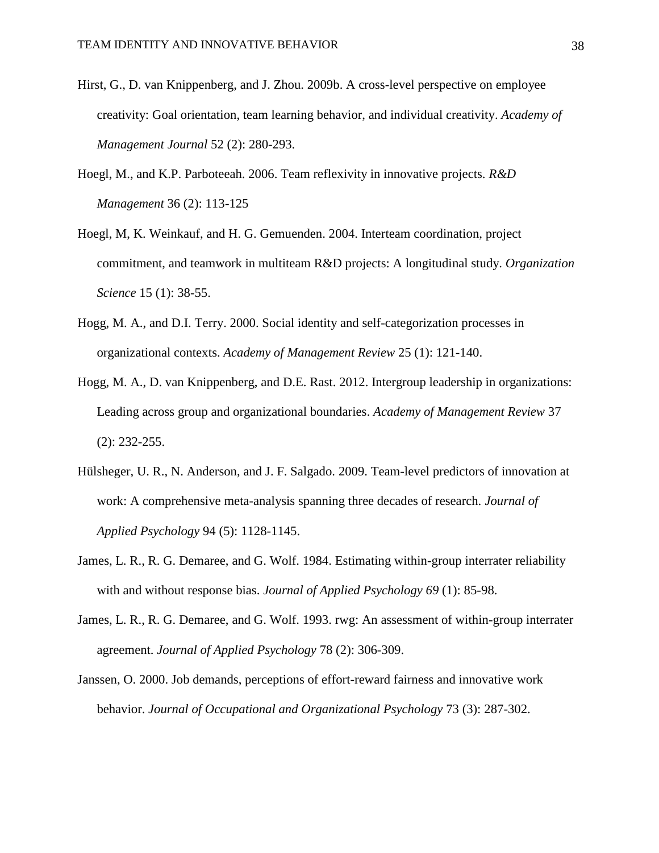- Hirst, G., D. van Knippenberg, and J. Zhou. 2009b. A cross-level perspective on employee creativity: Goal orientation, team learning behavior, and individual creativity. *Academy of Management Journal* 52 (2): 280-293.
- Hoegl, M., and K.P. Parboteeah. 2006. Team reflexivity in innovative projects. *R&D Management* 36 (2): 113-125
- Hoegl, M, K. Weinkauf, and H. G. Gemuenden. 2004. Interteam coordination, project commitment, and teamwork in multiteam R&D projects: A longitudinal study. *Organization Science* 15 (1): 38-55.
- Hogg, M. A., and D.I. Terry. 2000. Social identity and self-categorization processes in organizational contexts. *Academy of Management Review* 25 (1): 121-140.
- Hogg, M. A., D. van Knippenberg, and D.E. Rast. 2012. Intergroup leadership in organizations: Leading across group and organizational boundaries. *Academy of Management Review* 37 (2): 232-255.
- Hülsheger, U. R., N. Anderson, and J. F. Salgado. 2009. Team-level predictors of innovation at work: A comprehensive meta-analysis spanning three decades of research. *Journal of Applied Psychology* 94 (5): 1128-1145.
- James, L. R., R. G. Demaree, and G. Wolf. 1984. Estimating within-group interrater reliability with and without response bias. *Journal of Applied Psychology 69* (1): 85-98.
- James, L. R., R. G. Demaree, and G. Wolf. 1993. rwg: An assessment of within-group interrater agreement. *Journal of Applied Psychology* 78 (2): 306-309.
- Janssen, O. 2000. Job demands, perceptions of effort-reward fairness and innovative work behavior. *Journal of Occupational and Organizational Psychology* 73 (3): 287-302.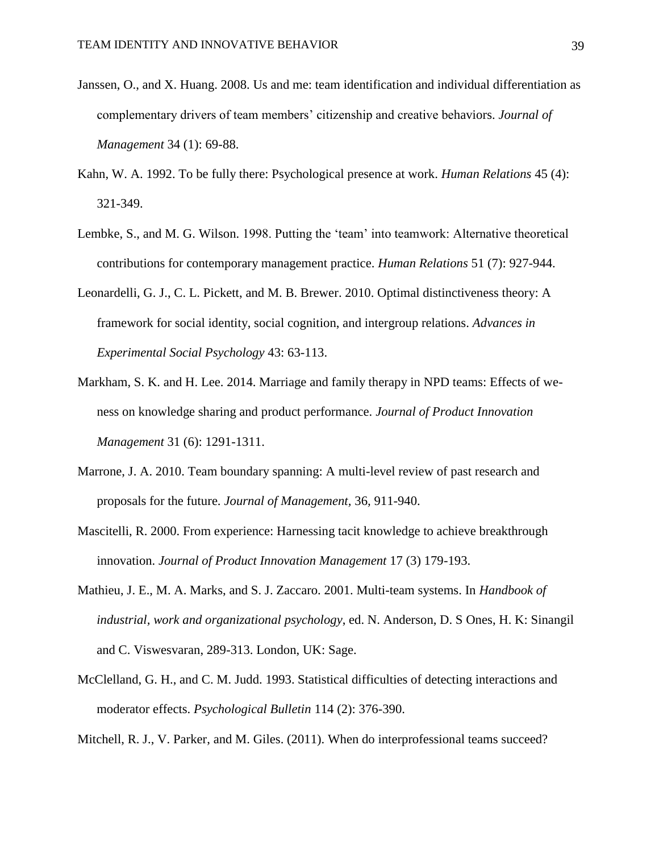- Janssen, O., and X. Huang. 2008. Us and me: team identification and individual differentiation as complementary drivers of team members' citizenship and creative behaviors. *Journal of Management* 34 (1): 69-88.
- Kahn, W. A. 1992. To be fully there: Psychological presence at work. *Human Relations* 45 (4): 321-349.
- Lembke, S., and M. G. Wilson. 1998. Putting the 'team' into teamwork: Alternative theoretical contributions for contemporary management practice. *Human Relations* 51 (7): 927-944.
- Leonardelli, G. J., C. L. Pickett, and M. B. Brewer. 2010. Optimal distinctiveness theory: A framework for social identity, social cognition, and intergroup relations. *Advances in Experimental Social Psychology* 43: 63-113.
- Markham, S. K. and H. Lee. 2014. Marriage and family therapy in NPD teams: Effects of weness on knowledge sharing and product performance. *Journal of Product Innovation Management* 31 (6): 1291-1311.
- Marrone, J. A. 2010. Team boundary spanning: A multi-level review of past research and proposals for the future. *Journal of Management,* 36*,* 911-940.
- Mascitelli, R. 2000. From experience: Harnessing tacit knowledge to achieve breakthrough innovation. *Journal of Product Innovation Management* 17 (3) 179-193.
- Mathieu, J. E., M. A. Marks, and S. J. Zaccaro. 2001. Multi-team systems. In *Handbook of industrial, work and organizational psychology*, ed. N. Anderson, D. S Ones, H. K: Sinangil and C. Viswesvaran, 289-313. London, UK: Sage.
- McClelland, G. H., and C. M. Judd. 1993. Statistical difficulties of detecting interactions and moderator effects. *Psychological Bulletin* 114 (2): 376-390.
- Mitchell, R. J., V. Parker, and M. Giles. (2011). When do interprofessional teams succeed?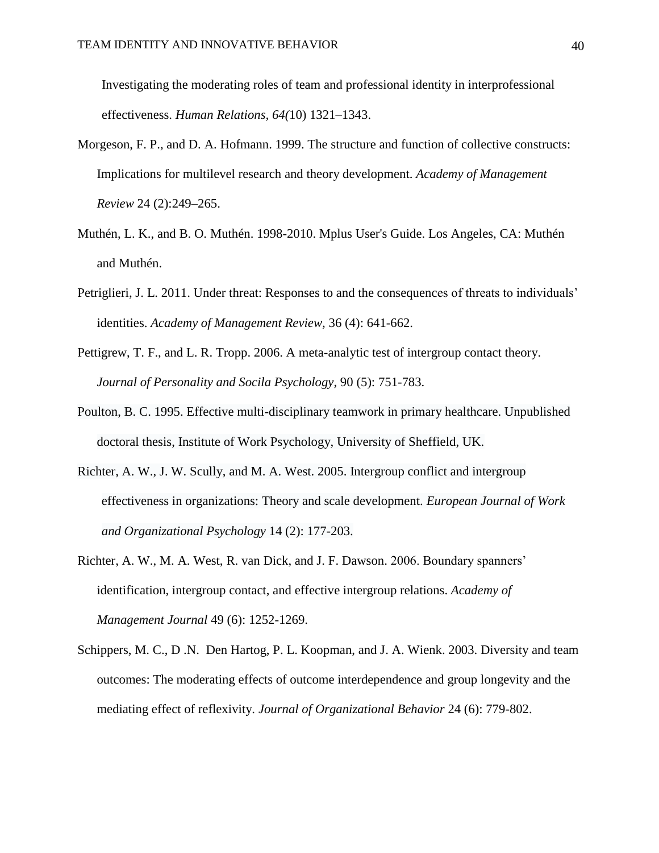Investigating the moderating roles of team and professional identity in interprofessional effectiveness. *Human Relations, 64(*10) 1321–1343.

- Morgeson, F. P., and D. A. Hofmann. 1999. The structure and function of collective constructs: Implications for multilevel research and theory development. *Academy of Management Review* 24 (2):249–265.
- Muthén, L. K., and B. O. Muthén. 1998-2010. Mplus User's Guide. Los Angeles, CA: Muthén and Muthén.
- Petriglieri, J. L. 2011. Under threat: Responses to and the consequences of threats to individuals' identities. *Academy of Management Review,* 36 (4): 641-662.
- Pettigrew, T. F., and L. R. Tropp. 2006. A meta-analytic test of intergroup contact theory. *Journal of Personality and Socila Psychology*, 90 (5): 751-783.
- Poulton, B. C. 1995. Effective multi-disciplinary teamwork in primary healthcare. Unpublished doctoral thesis, Institute of Work Psychology, University of Sheffield, UK.
- Richter, A. W., J. W. Scully, and M. A. West. 2005. Intergroup conflict and intergroup effectiveness in organizations: Theory and scale development. *European Journal of Work and Organizational Psychology* 14 (2): 177-203.
- Richter, A. W., M. A. West, R. van Dick, and J. F. Dawson. 2006. Boundary spanners' identification, intergroup contact, and effective intergroup relations. *Academy of Management Journal* 49 (6): 1252-1269.
- Schippers, M. C., D .N. Den Hartog, P. L. Koopman, and J. A. Wienk. 2003. Diversity and team outcomes: The moderating effects of outcome interdependence and group longevity and the mediating effect of reflexivity. *Journal of Organizational Behavior* 24 (6): 779-802.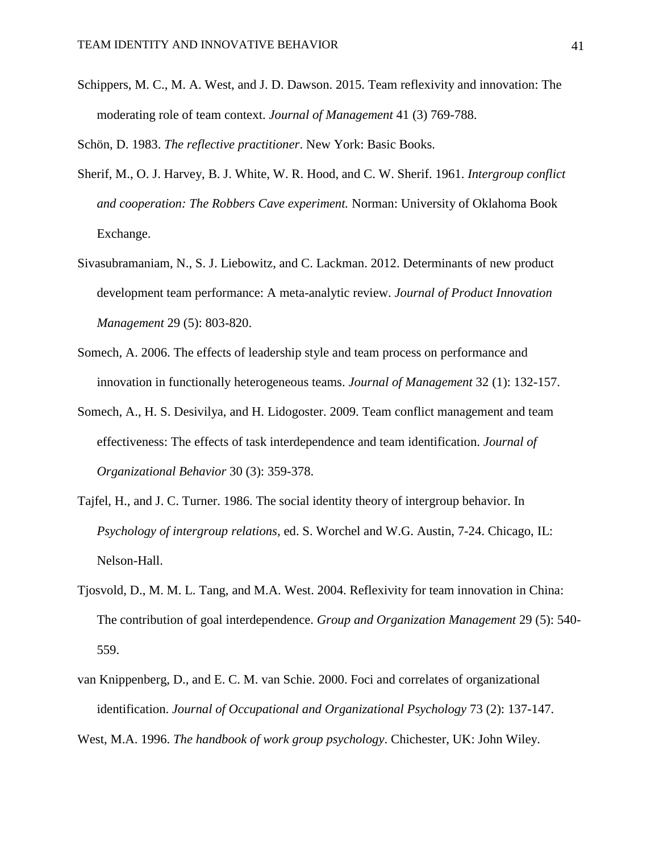Schippers, M. C., M. A. West, and J. D. Dawson. 2015. Team reflexivity and innovation: The moderating role of team context. *Journal of Management* 41 (3) 769-788.

Schön, D. 1983. *The reflective practitioner*. New York: Basic Books.

- Sherif, M., O. J. Harvey, B. J. White, W. R. Hood, and C. W. Sherif. 1961. *Intergroup conflict and cooperation: The Robbers Cave experiment.* Norman: University of Oklahoma Book Exchange.
- Sivasubramaniam, N., S. J. Liebowitz, and C. Lackman. 2012. Determinants of new product development team performance: A meta-analytic review. *Journal of Product Innovation Management* 29 (5): 803-820.
- Somech, A. 2006. The effects of leadership style and team process on performance and innovation in functionally heterogeneous teams. *Journal of Management* 32 (1): 132-157.
- Somech, A., H. S. Desivilya, and H. Lidogoster. 2009. Team conflict management and team effectiveness: The effects of task interdependence and team identification. *Journal of Organizational Behavior* 30 (3): 359-378.
- Tajfel, H., and J. C. Turner. 1986. The social identity theory of intergroup behavior. In *Psychology of intergroup relations,* ed. S. Worchel and W.G. Austin, 7-24. Chicago, IL: Nelson-Hall.
- Tjosvold, D., M. M. L. Tang, and M.A. West. 2004. Reflexivity for team innovation in China: The contribution of goal interdependence. *Group and Organization Management* 29 (5): 540- 559.
- van Knippenberg, D., and E. C. M. van Schie. 2000. Foci and correlates of organizational identification. *Journal of Occupational and Organizational Psychology* 73 (2): 137-147.

West, M.A. 1996. *The handbook of work group psychology*. Chichester, UK: John Wiley.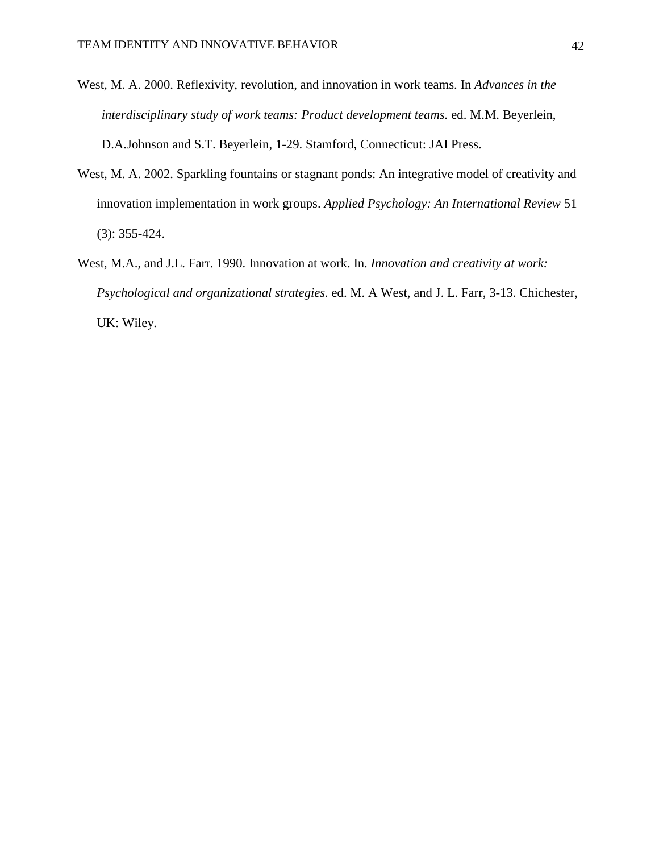- West, M. A. 2000. Reflexivity, revolution, and innovation in work teams. In *Advances in the interdisciplinary study of work teams: Product development teams.* ed. M.M. Beyerlein, D.A.Johnson and S.T. Beyerlein, 1-29. Stamford, Connecticut: JAI Press.
- West, M. A. 2002. Sparkling fountains or stagnant ponds: An integrative model of creativity and innovation implementation in work groups. *Applied Psychology: An International Review* 51 (3): 355-424.
- West, M.A., and J.L. Farr. 1990. Innovation at work. In. *Innovation and creativity at work: Psychological and organizational strategies.* ed. M. A West, and J. L. Farr, 3-13. Chichester, UK: Wiley.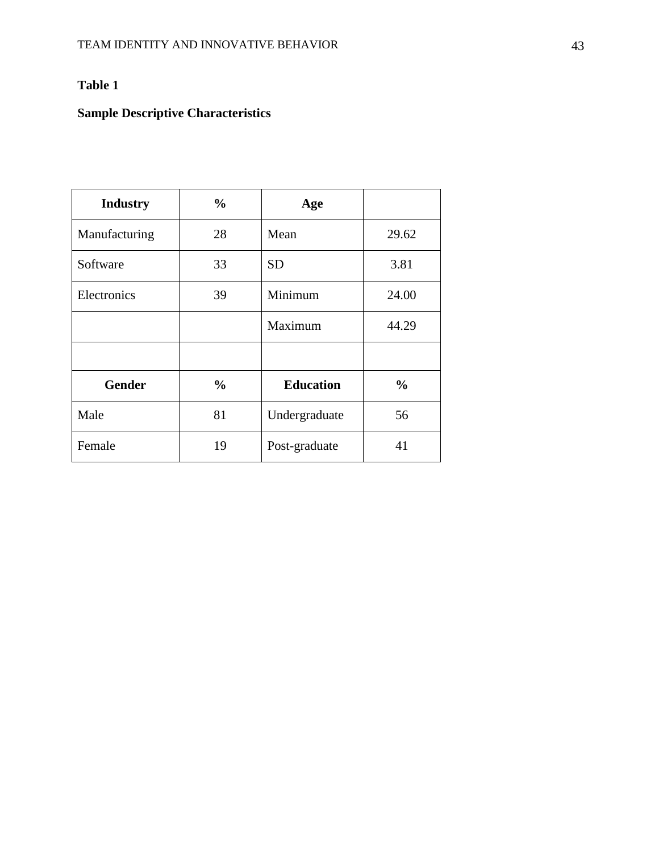# **Table 1**

# **Sample Descriptive Characteristics**

| <b>Industry</b> | $\frac{0}{0}$ | Age              |               |
|-----------------|---------------|------------------|---------------|
| Manufacturing   | 28            | Mean             | 29.62         |
| Software        | 33            | <b>SD</b>        | 3.81          |
| Electronics     | 39            | Minimum          | 24.00         |
|                 |               | Maximum          | 44.29         |
|                 |               |                  |               |
| <b>Gender</b>   | $\frac{0}{0}$ | <b>Education</b> | $\frac{6}{6}$ |
| Male            | 81            | Undergraduate    | 56            |
| Female          | 19            | Post-graduate    | 41            |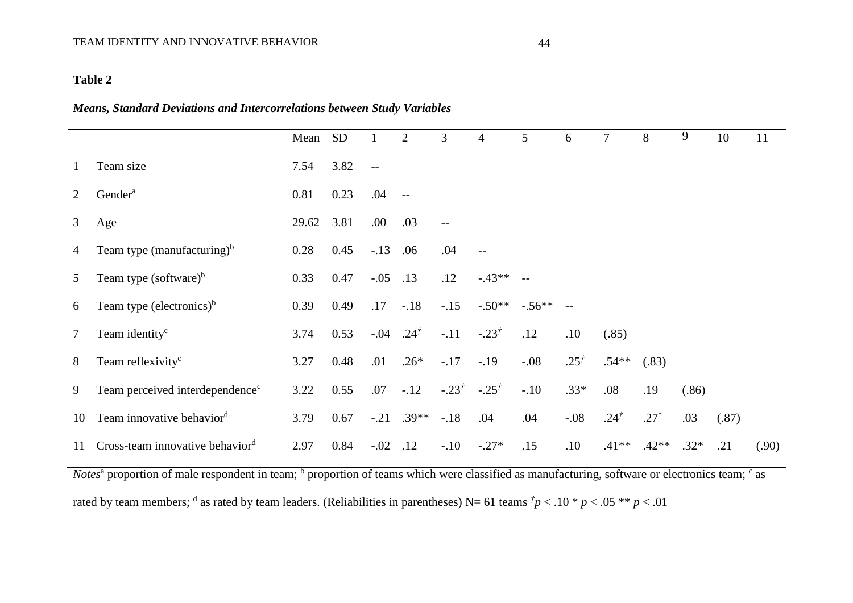# **Table 2**

## *Means, Standard Deviations and Intercorrelations between Study Variables*

|                |                                             | Mean SD |      |                          | $\overline{2}$   | 3                                 | 4          | 5          | 6               | 7         | 8       | 9      | 10    | 11    |
|----------------|---------------------------------------------|---------|------|--------------------------|------------------|-----------------------------------|------------|------------|-----------------|-----------|---------|--------|-------|-------|
| 1              | Team size                                   | 7.54    | 3.82 | $\overline{\phantom{a}}$ |                  |                                   |            |            |                 |           |         |        |       |       |
| 2              | Gender <sup>a</sup>                         | 0.81    | 0.23 | .04                      | $-$              |                                   |            |            |                 |           |         |        |       |       |
| $\mathfrak{Z}$ | Age                                         | 29.62   | 3.81 | .00.                     | .03              | $ -$                              |            |            |                 |           |         |        |       |       |
| 4              | Team type (manufacturing) $b$               | 0.28    | 0.45 | $-.13$                   | .06              | .04                               | $-$        |            |                 |           |         |        |       |       |
| 5              | Team type (software) $b$                    | 0.33    | 0.47 | $-.05$                   | .13              | .12                               | $-43**$    | $-$        |                 |           |         |        |       |       |
| 6              | Team type (electronics) $b$                 | 0.39    | 0.49 | .17                      | $-.18$           | $-.15$                            | $-.50**$   | $-.56**$ - |                 |           |         |        |       |       |
| 7              | Team identity <sup>c</sup>                  | 3.74    | 0.53 | $-.04$                   | .24 <sup>†</sup> | $-.11$                            | $-.23^{+}$ | .12        | .10             | (.85)     |         |        |       |       |
| 8              | Team reflexivity <sup>c</sup>               | 3.27    | 0.48 | .01                      | $.26*$           | $-.17$                            | $-.19$     | $-.08$     | $.25^{\dagger}$ | $.54**$   | (.83)   |        |       |       |
| 9              | Team perceived interdependence <sup>c</sup> | 3.22    | 0.55 | .07                      | $-.12$           | $-.23^{\dagger}$ $-.25^{\dagger}$ |            | $-.10$     | $.33*$          | .08       | .19     | (.86)  |       |       |
| 10             | Team innovative behavior <sup>d</sup>       | 3.79    | 0.67 |                          | $-.21$ .39**     | $-.18$                            | .04        | .04        | $-.08$          | $.24^{t}$ | $.27*$  | .03    | (.87) |       |
| 11             | Cross-team innovative behavior <sup>d</sup> | 2.97    | 0.84 | $-.02$                   | .12              | $-.10$                            | $-.27*$    | .15        | .10             | $.41**$   | $.42**$ | $.32*$ | .21   | (.90) |

Notes<sup>a</sup> proportion of male respondent in team; <sup>b</sup> proportion of teams which were classified as manufacturing, software or electronics team; <sup>c</sup> as rated by team members; <sup>d</sup> as rated by team leaders. (Reliabilities in parentheses) N= 61 teams  $\dot{p}$  < .10 \*  $p$  < .05 \*\*  $p$  < .01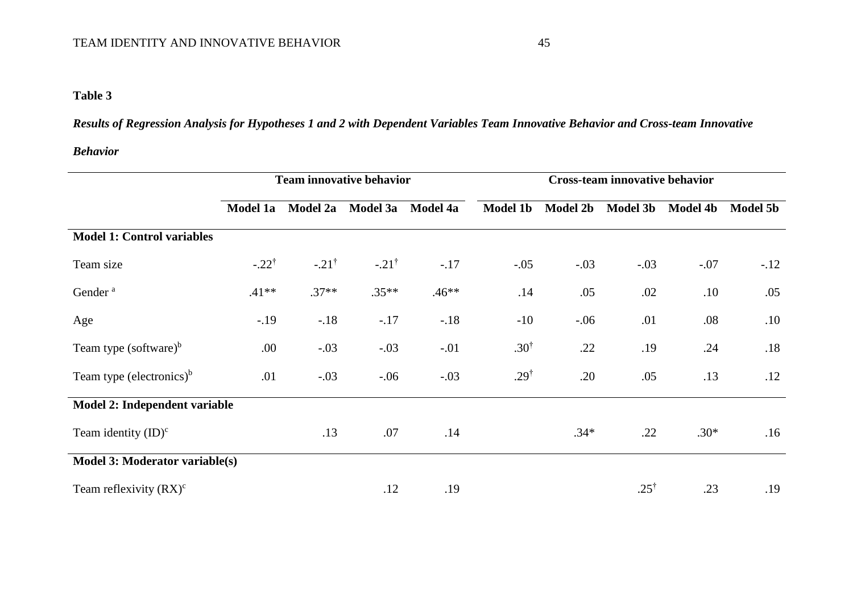# **Table 3**

*Results of Regression Analysis for Hypotheses 1 and 2 with Dependent Variables Team Innovative Behavior and Cross-team Innovative* 

## *Behavior*

|                                      | <b>Team innovative behavior</b> |                  |                  |                 | <b>Cross-team innovative behavior</b> |                 |                 |                 |                 |  |
|--------------------------------------|---------------------------------|------------------|------------------|-----------------|---------------------------------------|-----------------|-----------------|-----------------|-----------------|--|
|                                      | Model 1a                        | Model 2a         | Model 3a         | <b>Model 4a</b> | <b>Model 1b</b>                       | <b>Model 2b</b> | <b>Model 3b</b> | <b>Model 4b</b> | <b>Model 5b</b> |  |
| <b>Model 1: Control variables</b>    |                                 |                  |                  |                 |                                       |                 |                 |                 |                 |  |
| Team size                            | $-.22^{\dagger}$                | $-.21^{\dagger}$ | $-.21^{\dagger}$ | $-.17$          | $-.05$                                | $-.03$          | $-.03$          | $-.07$          | $-.12$          |  |
| Gender <sup>a</sup>                  | $.41**$                         | $.37**$          | $.35**$          | $.46**$         | .14                                   | .05             | .02             | .10             | .05             |  |
| Age                                  | $-.19$                          | $-.18$           | $-.17$           | $-.18$          | $-10$                                 | $-.06$          | .01             | .08             | .10             |  |
| Team type (software) $\rm^b$         | .00.                            | $-.03$           | $-.03$           | $-.01$          | $.30^{\dagger}$                       | .22             | .19             | .24             | .18             |  |
| Team type (electronics) <sup>b</sup> | .01                             | $-.03$           | $-.06$           | $-.03$          | $.29^{\dagger}$                       | .20             | .05             | .13             | .12             |  |
| Model 2: Independent variable        |                                 |                  |                  |                 |                                       |                 |                 |                 |                 |  |
| Team identity $(ID)^c$               |                                 | .13              | .07              | .14             |                                       | $.34*$          | .22             | $.30*$          | .16             |  |
| Model 3: Moderator variable(s)       |                                 |                  |                  |                 |                                       |                 |                 |                 |                 |  |
| Team reflexivity $(RX)^c$            |                                 |                  | .12              | .19             |                                       |                 | $.25^{\dagger}$ | .23             | .19             |  |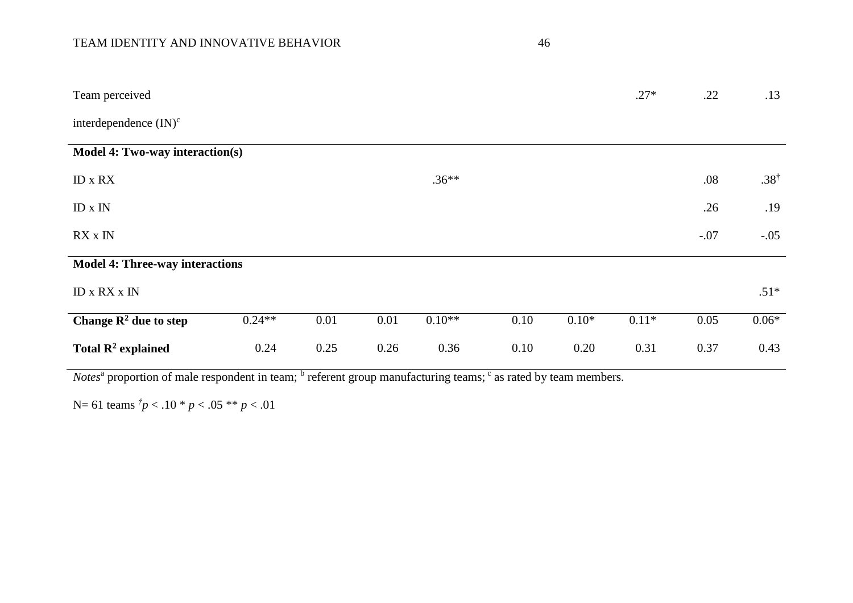# TEAM IDENTITY AND INNOVATIVE BEHAVIOR 46 AM IN 1997 10 AM INDEX 15 AM IN 1997 10 AM IN 1997 10 AM IN 1997 10 AM INDEX 15 AM IN 1997 10 AM IN 1997 10 AM INDEX 15 AM INDEX 15 AM IN 1997 10 AM INDEX 15 AM INDEX 15 AM INDEX 15

| Team perceived                         |          |      |      |          |      |         | $.27*$  | .22    | .13             |
|----------------------------------------|----------|------|------|----------|------|---------|---------|--------|-----------------|
| interdependence $(IN)^c$               |          |      |      |          |      |         |         |        |                 |
| Model 4: Two-way interaction(s)        |          |      |      |          |      |         |         |        |                 |
| ID x RX                                |          |      |      | $.36**$  |      |         |         | .08    | $.38^{\dagger}$ |
| $ID \times IN$                         |          |      |      |          |      |         |         | .26    | .19             |
| RX x IN                                |          |      |      |          |      |         |         | $-.07$ | $-.05$          |
| <b>Model 4: Three-way interactions</b> |          |      |      |          |      |         |         |        |                 |
| <b>ID x RX x IN</b>                    |          |      |      |          |      |         |         |        | $.51*$          |
| Change $\mathbb{R}^2$ due to step      | $0.24**$ | 0.01 | 0.01 | $0.10**$ | 0.10 | $0.10*$ | $0.11*$ | 0.05   | $0.06*$         |
| Total $\mathbb{R}^2$ explained         | 0.24     | 0.25 | 0.26 | 0.36     | 0.10 | 0.20    | 0.31    | 0.37   | 0.43            |

*Notes*<sup>a</sup> proportion of male respondent in team; <sup>b</sup> referent group manufacturing teams; <sup>c</sup> as rated by team members.

N= 61 teams *† p* < .10 \* *p* < .05 \*\* *p* < .01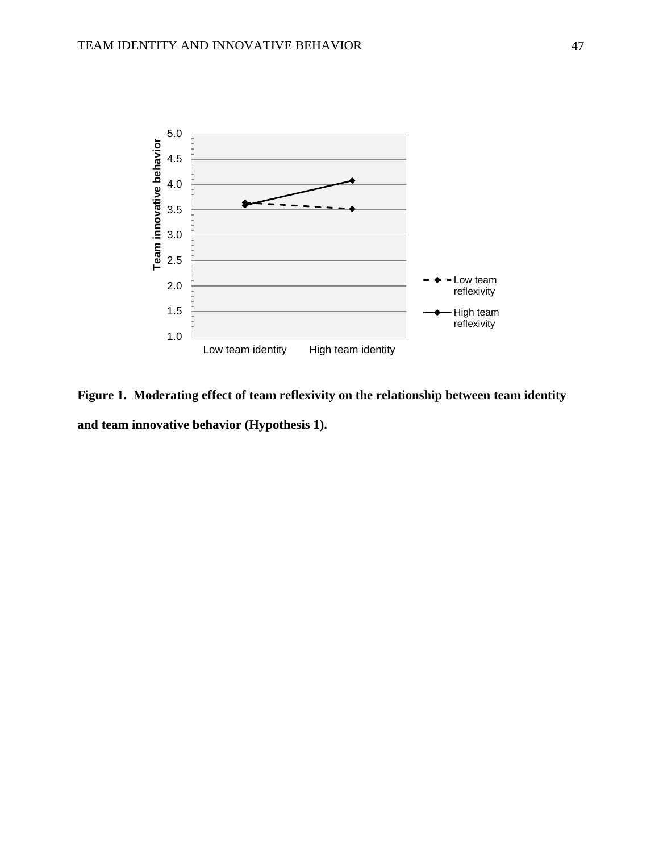

**Figure 1. Moderating effect of team reflexivity on the relationship between team identity and team innovative behavior (Hypothesis 1).**